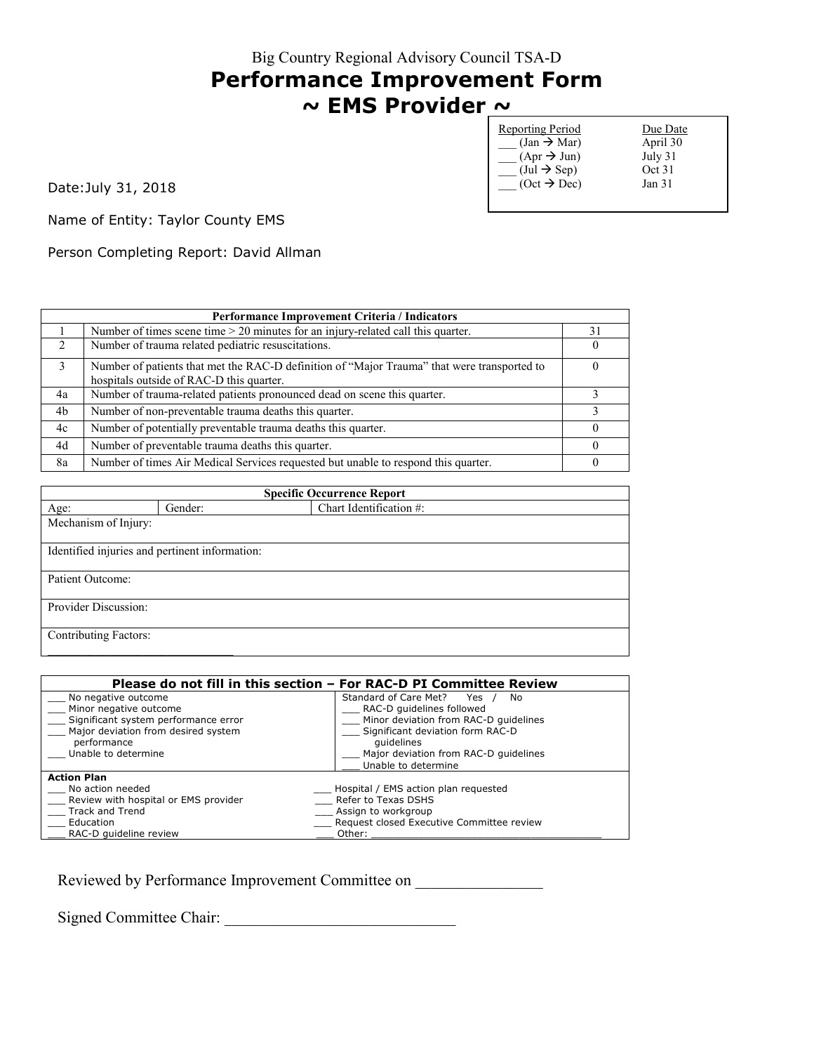# **Performance Improvement Form ~ EMS Provider ~**

| <b>Reporting Period</b>               | Due Date          |
|---------------------------------------|-------------------|
| $(Jan \rightarrow Mar)$               | April 30          |
| $(Apr \rightarrow Jun)$               | July 31           |
| $(\text{Jul} \rightarrow \text{Sep})$ | Oct 31            |
| $(Oct \rightarrow Dec)$               | Jan <sub>31</sub> |
|                                       |                   |

Date:July 31, 2018

Name of Entity: Taylor County EMS

Person Completing Report: David Allman

| Performance Improvement Criteria / Indicators |                                                                                                                                         |    |
|-----------------------------------------------|-----------------------------------------------------------------------------------------------------------------------------------------|----|
|                                               | Number of times scene time $> 20$ minutes for an injury-related call this quarter.                                                      | 31 |
| $\mathcal{L}$                                 | Number of trauma related pediatric resuscitations.                                                                                      |    |
| 3                                             | Number of patients that met the RAC-D definition of "Major Trauma" that were transported to<br>hospitals outside of RAC-D this quarter. |    |
| 4a                                            | Number of trauma-related patients pronounced dead on scene this quarter.                                                                |    |
| 4b                                            | Number of non-preventable trauma deaths this quarter.                                                                                   |    |
| 4c                                            | Number of potentially preventable trauma deaths this quarter.                                                                           |    |
| 4d                                            | Number of preventable trauma deaths this quarter.                                                                                       |    |
| 8a                                            | Number of times Air Medical Services requested but unable to respond this quarter.                                                      |    |

| <b>Specific Occurrence Report</b> |                                                |                         |  |
|-----------------------------------|------------------------------------------------|-------------------------|--|
| Age:                              | Gender:                                        | Chart Identification #: |  |
| Mechanism of Injury:              |                                                |                         |  |
|                                   |                                                |                         |  |
|                                   | Identified injuries and pertinent information: |                         |  |
|                                   |                                                |                         |  |
| Patient Outcome:                  |                                                |                         |  |
|                                   |                                                |                         |  |
| Provider Discussion:              |                                                |                         |  |
|                                   |                                                |                         |  |
| <b>Contributing Factors:</b>      |                                                |                         |  |
|                                   |                                                |                         |  |

| Please do not fill in this section – For RAC-D PI Committee Review |                                           |  |
|--------------------------------------------------------------------|-------------------------------------------|--|
| No negative outcome                                                | Standard of Care Met?<br>Yes<br>No        |  |
| Minor negative outcome                                             | RAC-D quidelines followed                 |  |
| Significant system performance error                               | Minor deviation from RAC-D quidelines     |  |
| Major deviation from desired system                                | Significant deviation form RAC-D          |  |
| performance                                                        | quidelines                                |  |
| Unable to determine                                                | Major deviation from RAC-D quidelines     |  |
|                                                                    | Unable to determine                       |  |
| <b>Action Plan</b>                                                 |                                           |  |
| No action needed                                                   | Hospital / EMS action plan requested      |  |
| Review with hospital or EMS provider                               | Refer to Texas DSHS                       |  |
| <b>Track and Trend</b>                                             | Assign to workgroup                       |  |
| Education                                                          | Request closed Executive Committee review |  |
| RAC-D quideline review                                             | Other:                                    |  |

Reviewed by Performance Improvement Committee on \_\_\_\_\_\_\_\_\_\_\_\_\_\_\_\_\_\_\_\_\_\_\_\_\_\_\_\_\_\_\_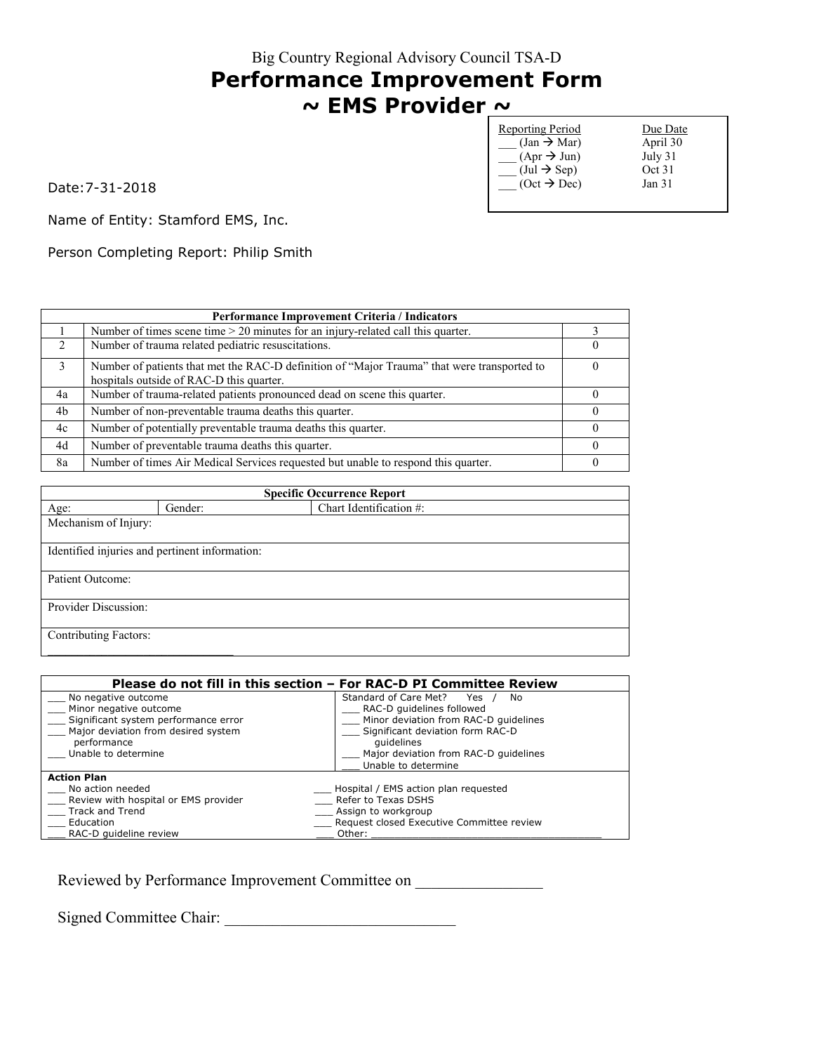Big Country Regional Advisory Council TSA-D **Performance Improvement Form**

# **~ EMS Provider ~**

| <b>Reporting Period</b>               | Due Date |
|---------------------------------------|----------|
| $(Jan \rightarrow Mar)$               | April 30 |
| $(Apr \rightarrow Jun)$               | July 31  |
| $(\text{Jul} \rightarrow \text{Sep})$ | Oct 31   |
| $(Oct \rightarrow Dec)$               | Jan 31   |
|                                       |          |

Date:7-31-2018

Name of Entity: Stamford EMS, Inc.

Person Completing Report: Philip Smith

| Performance Improvement Criteria / Indicators |                                                                                                                                         |  |
|-----------------------------------------------|-----------------------------------------------------------------------------------------------------------------------------------------|--|
|                                               | Number of times scene time $> 20$ minutes for an injury-related call this quarter.                                                      |  |
| $\mathcal{D}$                                 | Number of trauma related pediatric resuscitations.                                                                                      |  |
| 3                                             | Number of patients that met the RAC-D definition of "Major Trauma" that were transported to<br>hospitals outside of RAC-D this quarter. |  |
| 4a                                            | Number of trauma-related patients pronounced dead on scene this quarter.                                                                |  |
| 4b                                            | Number of non-preventable trauma deaths this quarter.                                                                                   |  |
| 4c                                            | Number of potentially preventable trauma deaths this quarter.                                                                           |  |
| 4d                                            | Number of preventable trauma deaths this quarter.                                                                                       |  |
| 8a                                            | Number of times Air Medical Services requested but unable to respond this quarter.                                                      |  |

| <b>Specific Occurrence Report</b> |                                                |                         |  |
|-----------------------------------|------------------------------------------------|-------------------------|--|
| Age:                              | Gender:                                        | Chart Identification #: |  |
| Mechanism of Injury:              |                                                |                         |  |
|                                   |                                                |                         |  |
|                                   | Identified injuries and pertinent information: |                         |  |
|                                   |                                                |                         |  |
| Patient Outcome:                  |                                                |                         |  |
|                                   |                                                |                         |  |
| Provider Discussion:              |                                                |                         |  |
|                                   |                                                |                         |  |
| <b>Contributing Factors:</b>      |                                                |                         |  |
|                                   |                                                |                         |  |

| Please do not fill in this section – For RAC-D PI Committee Review |                                           |  |
|--------------------------------------------------------------------|-------------------------------------------|--|
| No negative outcome                                                | Standard of Care Met?<br>Yes<br>No        |  |
| Minor negative outcome                                             | RAC-D quidelines followed                 |  |
| Significant system performance error                               | Minor deviation from RAC-D quidelines     |  |
| Major deviation from desired system                                | Significant deviation form RAC-D          |  |
| performance                                                        | quidelines                                |  |
| Unable to determine                                                | Major deviation from RAC-D quidelines     |  |
|                                                                    | Unable to determine                       |  |
| <b>Action Plan</b>                                                 |                                           |  |
| No action needed                                                   | Hospital / EMS action plan requested      |  |
| Review with hospital or EMS provider                               | Refer to Texas DSHS                       |  |
| Track and Trend                                                    | Assign to workgroup                       |  |
| Education                                                          | Request closed Executive Committee review |  |
| RAC-D quideline review                                             | Other:                                    |  |

Reviewed by Performance Improvement Committee on \_\_\_\_\_\_\_\_\_\_\_\_\_\_\_\_\_\_\_\_\_\_\_\_\_\_\_\_\_\_\_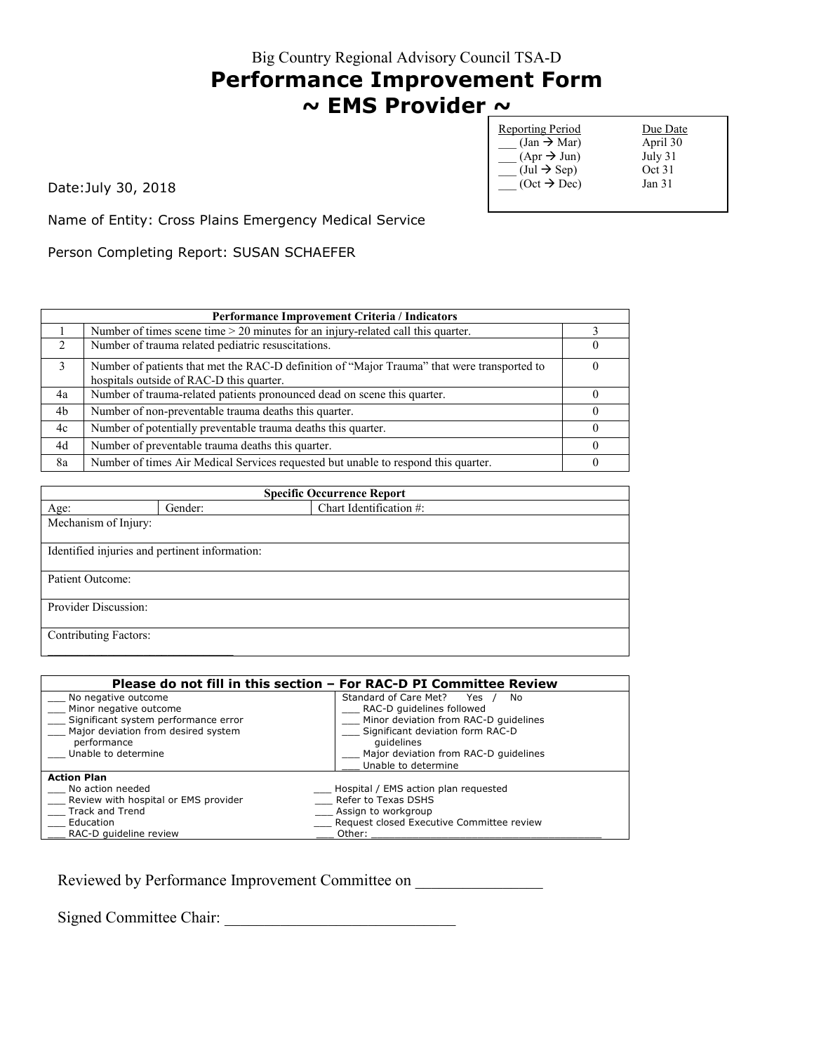#### **Performance Improvement Form ~ EMS Provider ~**

Reporting Period Due Date  $(\text{Jan} \rightarrow \text{Mar})$  April 30<br>  $(\text{Apr} \rightarrow \text{Jun})$  July 31  $(\text{Apr} \rightarrow \text{Jun})$  July 31<br>(Jul  $\rightarrow$  Sep) Oct 31  $\overline{\phantom{a}}$  (Jul  $\rightarrow$  Sep) Oct 31<br>
(Oct  $\rightarrow$  Dec) Jan 31  $\overline{\text{Oct}} \rightarrow \text{Dec}$ 

Date:July 30, 2018

Name of Entity: Cross Plains Emergency Medical Service

Person Completing Report: SUSAN SCHAEFER

| Performance Improvement Criteria / Indicators |                                                                                                                                         |  |
|-----------------------------------------------|-----------------------------------------------------------------------------------------------------------------------------------------|--|
|                                               | Number of times scene time > 20 minutes for an injury-related call this quarter.                                                        |  |
| $\mathcal{L}$                                 | Number of trauma related pediatric resuscitations.                                                                                      |  |
| 3                                             | Number of patients that met the RAC-D definition of "Major Trauma" that were transported to<br>hospitals outside of RAC-D this quarter. |  |
| 4a                                            | Number of trauma-related patients pronounced dead on scene this quarter.                                                                |  |
| 4b                                            | Number of non-preventable trauma deaths this quarter.                                                                                   |  |
| 4c                                            | Number of potentially preventable trauma deaths this quarter.                                                                           |  |
| 4d                                            | Number of preventable trauma deaths this quarter.                                                                                       |  |
| 8a                                            | Number of times Air Medical Services requested but unable to respond this quarter.                                                      |  |

| <b>Specific Occurrence Report</b>              |         |                         |
|------------------------------------------------|---------|-------------------------|
| Age:                                           | Gender: | Chart Identification #: |
| Mechanism of Injury:                           |         |                         |
| Identified injuries and pertinent information: |         |                         |
| Patient Outcome:                               |         |                         |
| Provider Discussion:                           |         |                         |
| Contributing Factors:                          |         |                         |

| Please do not fill in this section – For RAC-D PI Committee Review |                                           |  |
|--------------------------------------------------------------------|-------------------------------------------|--|
| No negative outcome                                                | Standard of Care Met?<br>Yes<br>No.       |  |
| Minor negative outcome                                             | RAC-D quidelines followed                 |  |
| Significant system performance error                               | Minor deviation from RAC-D quidelines     |  |
| Major deviation from desired system                                | Significant deviation form RAC-D          |  |
| performance                                                        | quidelines                                |  |
| Unable to determine                                                | Major deviation from RAC-D quidelines     |  |
|                                                                    | Unable to determine                       |  |
| <b>Action Plan</b>                                                 |                                           |  |
| No action needed                                                   | __ Hospital / EMS action plan requested   |  |
| Review with hospital or EMS provider                               | Refer to Texas DSHS                       |  |
| Track and Trend                                                    | Assign to workgroup                       |  |
| Education                                                          | Request closed Executive Committee review |  |
| RAC-D quideline review                                             | Other:                                    |  |

Reviewed by Performance Improvement Committee on \_\_\_\_\_\_\_\_\_\_\_\_\_\_\_\_\_\_\_\_\_\_\_\_\_\_\_\_\_\_\_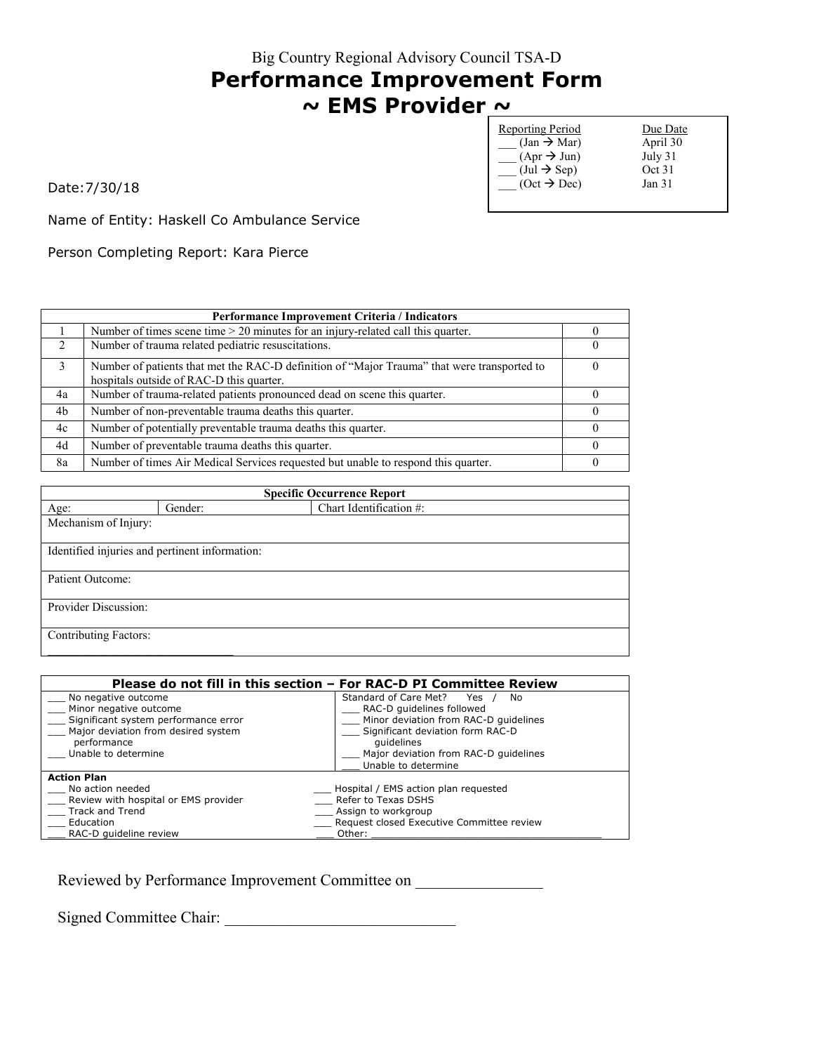# **Performance Improvement Form ~ EMS Provider ~**

| <b>Reporting Period</b>               | Due Date          |
|---------------------------------------|-------------------|
| $(Jan \rightarrow Mar)$               | April 30          |
| $(Apr \rightarrow Jun)$               | July 31           |
| $(\text{Jul} \rightarrow \text{Sep})$ | Oct 31            |
| $(Oct \rightarrow Dec)$               | Jan <sub>31</sub> |
|                                       |                   |

Date:7/30/18

Name of Entity: Haskell Co Ambulance Service

Person Completing Report: Kara Pierce

| <b>Performance Improvement Criteria / Indicators</b> |                                                                                                                                         |  |
|------------------------------------------------------|-----------------------------------------------------------------------------------------------------------------------------------------|--|
|                                                      | Number of times scene time $> 20$ minutes for an injury-related call this quarter.                                                      |  |
| $\mathcal{D}$                                        | Number of trauma related pediatric resuscitations.                                                                                      |  |
| 3                                                    | Number of patients that met the RAC-D definition of "Major Trauma" that were transported to<br>hospitals outside of RAC-D this quarter. |  |
| 4a                                                   | Number of trauma-related patients pronounced dead on scene this quarter.                                                                |  |
| 4b                                                   | Number of non-preventable trauma deaths this quarter.                                                                                   |  |
| 4c                                                   | Number of potentially preventable trauma deaths this quarter.                                                                           |  |
| 4d                                                   | Number of preventable trauma deaths this quarter.                                                                                       |  |
| 8a                                                   | Number of times Air Medical Services requested but unable to respond this quarter.                                                      |  |

| <b>Specific Occurrence Report</b>              |         |                         |
|------------------------------------------------|---------|-------------------------|
| Age:                                           | Gender: | Chart Identification #: |
| Mechanism of Injury:                           |         |                         |
|                                                |         |                         |
| Identified injuries and pertinent information: |         |                         |
|                                                |         |                         |
| Patient Outcome:                               |         |                         |
|                                                |         |                         |
| Provider Discussion:                           |         |                         |
|                                                |         |                         |
| <b>Contributing Factors:</b>                   |         |                         |
|                                                |         |                         |

| Please do not fill in this section – For RAC-D PI Committee Review |                                           |  |
|--------------------------------------------------------------------|-------------------------------------------|--|
| No negative outcome                                                | Standard of Care Met?<br>Yes<br>No        |  |
| Minor negative outcome                                             | RAC-D quidelines followed                 |  |
| Significant system performance error                               | Minor deviation from RAC-D quidelines     |  |
| Major deviation from desired system                                | Significant deviation form RAC-D          |  |
| performance                                                        | quidelines                                |  |
| Unable to determine                                                | Major deviation from RAC-D quidelines     |  |
|                                                                    | Unable to determine                       |  |
| <b>Action Plan</b>                                                 |                                           |  |
| No action needed                                                   | Hospital / EMS action plan requested      |  |
| Review with hospital or EMS provider                               | Refer to Texas DSHS                       |  |
| Track and Trend                                                    | Assign to workgroup                       |  |
| Education                                                          | Request closed Executive Committee review |  |
| RAC-D quideline review                                             | Other:                                    |  |

Reviewed by Performance Improvement Committee on \_\_\_\_\_\_\_\_\_\_\_\_\_\_\_\_\_\_\_\_\_\_\_\_\_\_\_\_\_\_\_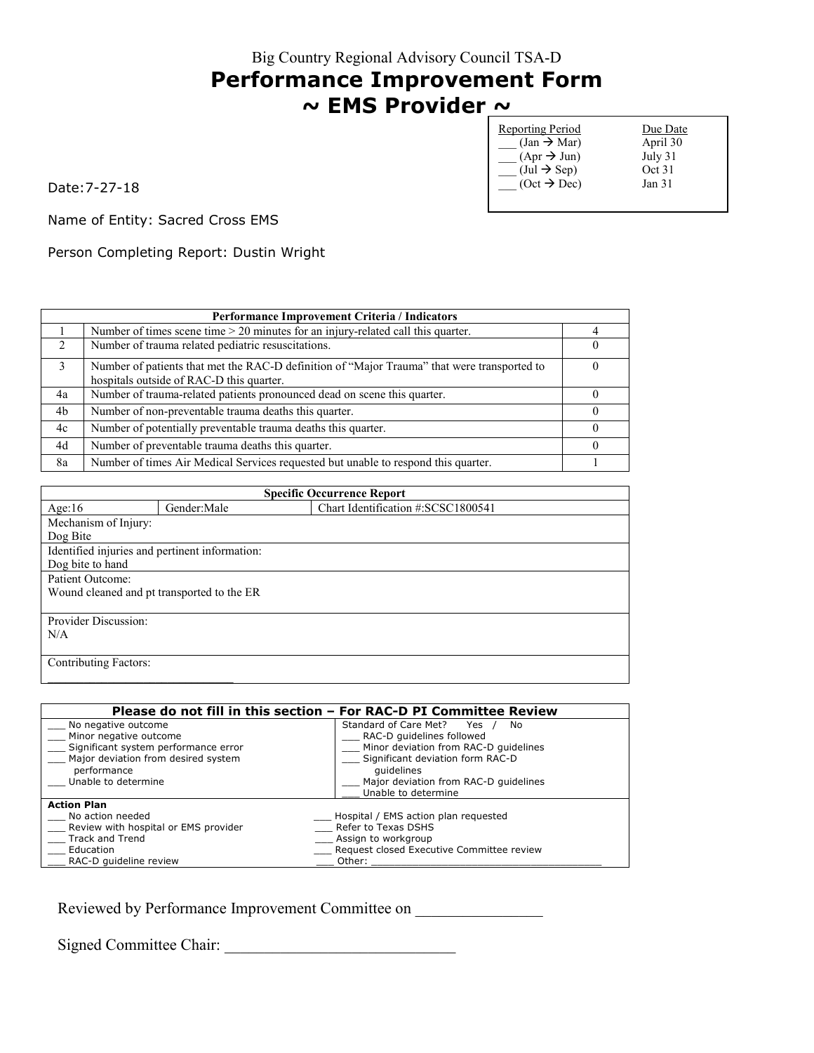## **Performance Improvement Form ~ EMS Provider ~**

| <b>Reporting Period</b>               | Due Date |
|---------------------------------------|----------|
| $(Jan \rightarrow Mar)$               | April 30 |
| $(Apr \rightarrow Jun)$               | July 31  |
| $(\text{Jul} \rightarrow \text{Sep})$ | Oct 31   |
| $(Oct \rightarrow Dec)$               | Jan 31   |
|                                       |          |

Date:7-27-18

Name of Entity: Sacred Cross EMS

Person Completing Report: Dustin Wright

|               | Performance Improvement Criteria / Indicators                                                                                           |  |  |
|---------------|-----------------------------------------------------------------------------------------------------------------------------------------|--|--|
|               | Number of times scene time $> 20$ minutes for an injury-related call this quarter.                                                      |  |  |
| $\mathcal{L}$ | Number of trauma related pediatric resuscitations.                                                                                      |  |  |
| 3             | Number of patients that met the RAC-D definition of "Major Trauma" that were transported to<br>hospitals outside of RAC-D this quarter. |  |  |
| 4a            | Number of trauma-related patients pronounced dead on scene this quarter.                                                                |  |  |
| 4b            | Number of non-preventable trauma deaths this quarter.                                                                                   |  |  |
| 4c            | Number of potentially preventable trauma deaths this quarter.                                                                           |  |  |
| 4d            | Number of preventable trauma deaths this quarter.                                                                                       |  |  |
| 8a            | Number of times Air Medical Services requested but unable to respond this quarter.                                                      |  |  |

| <b>Specific Occurrence Report</b>              |             |                                    |  |
|------------------------------------------------|-------------|------------------------------------|--|
| Age: $16$                                      | Gender:Male | Chart Identification #:SCSC1800541 |  |
| Mechanism of Injury:                           |             |                                    |  |
| Dog Bite                                       |             |                                    |  |
| Identified injuries and pertinent information: |             |                                    |  |
| Dog bite to hand                               |             |                                    |  |
| Patient Outcome:                               |             |                                    |  |
| Wound cleaned and pt transported to the ER     |             |                                    |  |
|                                                |             |                                    |  |
| Provider Discussion:                           |             |                                    |  |
| N/A                                            |             |                                    |  |
|                                                |             |                                    |  |
| <b>Contributing Factors:</b>                   |             |                                    |  |
|                                                |             |                                    |  |

| Please do not fill in this section - For RAC-D PI Committee Review |                                           |  |
|--------------------------------------------------------------------|-------------------------------------------|--|
| No negative outcome                                                | Standard of Care Met?<br>Yes<br>No.       |  |
| Minor negative outcome                                             | RAC-D quidelines followed                 |  |
| Significant system performance error                               | Minor deviation from RAC-D quidelines     |  |
| Major deviation from desired system                                | Significant deviation form RAC-D          |  |
| performance                                                        | quidelines                                |  |
| Unable to determine                                                | Major deviation from RAC-D quidelines     |  |
|                                                                    | Unable to determine                       |  |
| <b>Action Plan</b>                                                 |                                           |  |
| No action needed                                                   | Hospital / EMS action plan requested      |  |
| Review with hospital or EMS provider                               | Refer to Texas DSHS                       |  |
| Track and Trend                                                    | Assign to workgroup                       |  |
| Education                                                          | Request closed Executive Committee review |  |
| RAC-D guideline review                                             | Other:                                    |  |

Reviewed by Performance Improvement Committee on

Signed Committee Chair: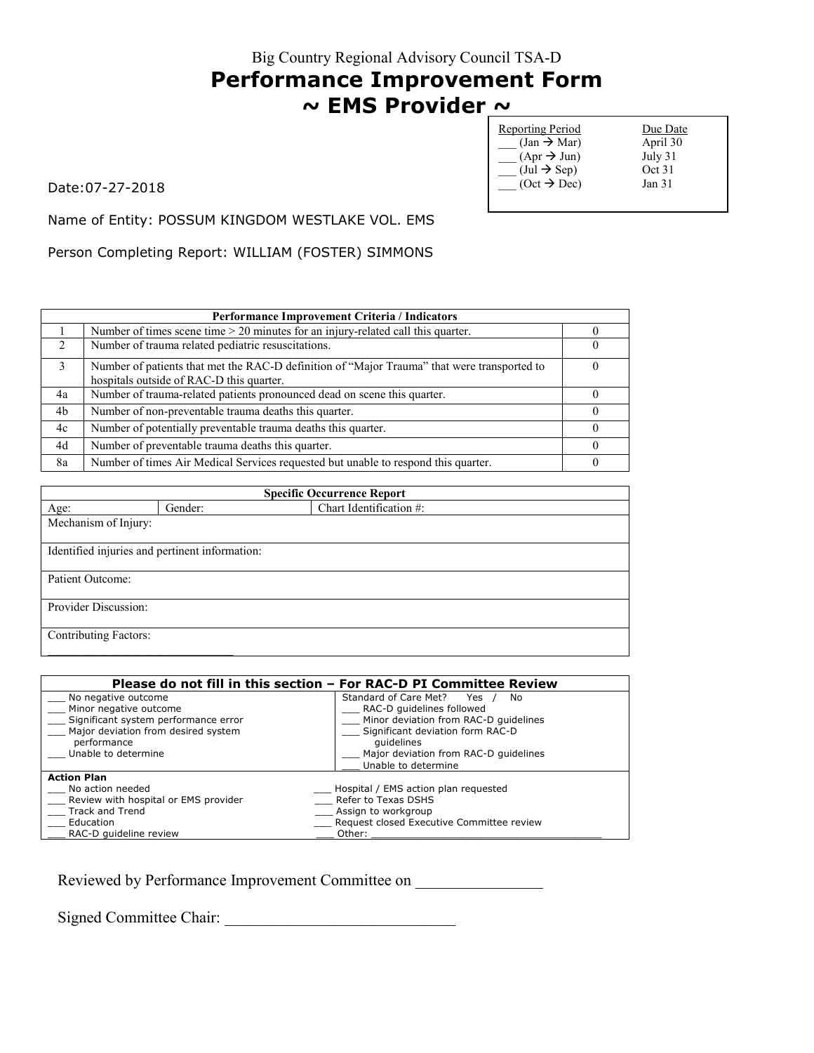### **Performance Improvement Form ~ EMS Provider ~**

Date:07-27-2018

| <b>Reporting Period</b>               | Due Date |
|---------------------------------------|----------|
| $(Jan \rightarrow Mar)$               | April 30 |
| $(Apr \rightarrow Jun)$               | July 31  |
| $(\text{Jul} \rightarrow \text{Sep})$ | Oct 31   |
| $(Oct \rightarrow Dec)$               | Jan 31   |
|                                       |          |

Name of Entity: POSSUM KINGDOM WESTLAKE VOL. EMS

Person Completing Report: WILLIAM (FOSTER) SIMMONS

|               | Performance Improvement Criteria / Indicators                                               |  |  |
|---------------|---------------------------------------------------------------------------------------------|--|--|
|               | Number of times scene time $> 20$ minutes for an injury-related call this quarter.          |  |  |
| $\mathcal{L}$ | Number of trauma related pediatric resuscitations.                                          |  |  |
| 3             | Number of patients that met the RAC-D definition of "Major Trauma" that were transported to |  |  |
|               | hospitals outside of RAC-D this quarter.                                                    |  |  |
| 4a            | Number of trauma-related patients pronounced dead on scene this quarter.                    |  |  |
| 4b            | Number of non-preventable trauma deaths this quarter.                                       |  |  |
| 4c            | Number of potentially preventable trauma deaths this quarter.                               |  |  |
| 4d            | Number of preventable trauma deaths this quarter.                                           |  |  |
| 8a            | Number of times Air Medical Services requested but unable to respond this quarter.          |  |  |

| <b>Specific Occurrence Report</b> |                                                |                         |  |
|-----------------------------------|------------------------------------------------|-------------------------|--|
| Age:                              | Gender:                                        | Chart Identification #: |  |
| Mechanism of Injury:              |                                                |                         |  |
|                                   |                                                |                         |  |
|                                   | Identified injuries and pertinent information: |                         |  |
|                                   |                                                |                         |  |
| Patient Outcome:                  |                                                |                         |  |
|                                   |                                                |                         |  |
| Provider Discussion:              |                                                |                         |  |
|                                   |                                                |                         |  |
| <b>Contributing Factors:</b>      |                                                |                         |  |
|                                   |                                                |                         |  |

| Please do not fill in this section – For RAC-D PI Committee Review |                                           |  |
|--------------------------------------------------------------------|-------------------------------------------|--|
| No negative outcome                                                | Standard of Care Met?<br>Yes<br>No        |  |
| Minor negative outcome                                             | RAC-D quidelines followed                 |  |
| Significant system performance error                               | Minor deviation from RAC-D quidelines     |  |
| Major deviation from desired system                                | Significant deviation form RAC-D          |  |
| performance                                                        | quidelines                                |  |
| Unable to determine                                                | Major deviation from RAC-D quidelines     |  |
|                                                                    | Unable to determine                       |  |
| <b>Action Plan</b>                                                 |                                           |  |
| No action needed                                                   | Hospital / EMS action plan requested      |  |
| Review with hospital or EMS provider                               | Refer to Texas DSHS                       |  |
| Track and Trend                                                    | Assign to workgroup                       |  |
| Education                                                          | Request closed Executive Committee review |  |
| RAC-D quideline review                                             | Other:                                    |  |

Reviewed by Performance Improvement Committee on \_\_\_\_\_\_\_\_\_\_\_\_\_\_\_\_\_\_\_\_\_\_\_\_\_\_\_\_\_\_\_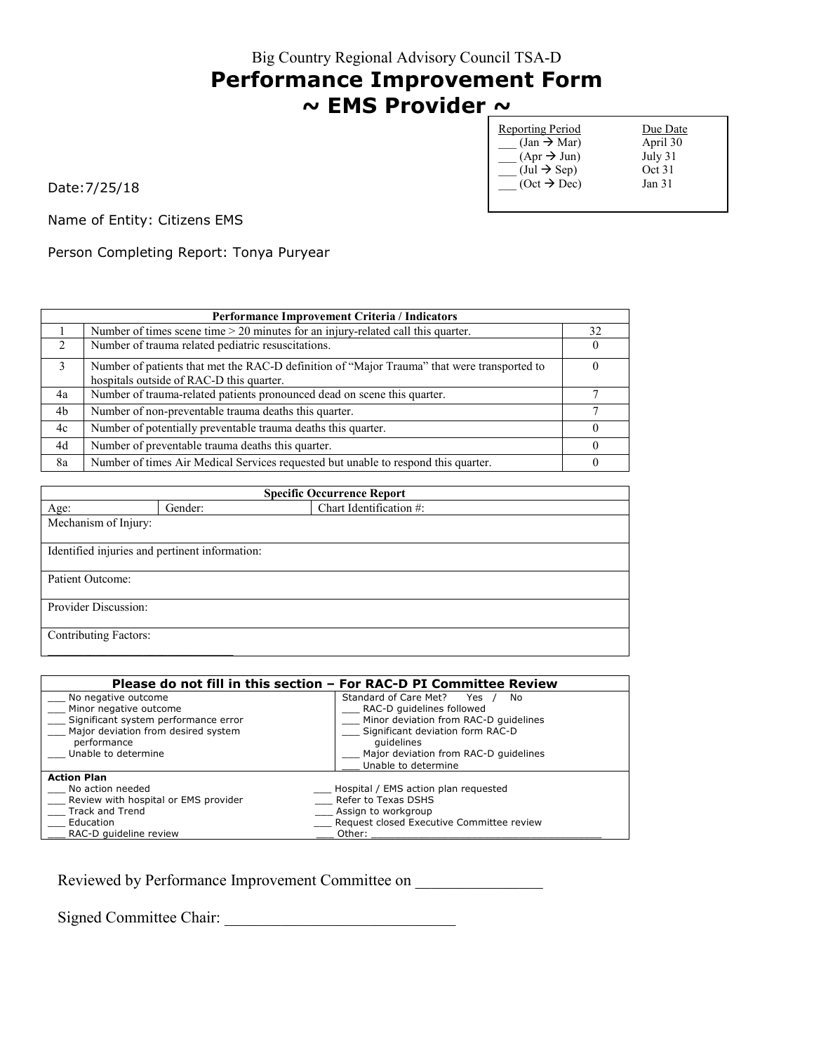#### **Performance Improvement Form ~ EMS Provider ~**

Reporting Period Due Date  $\begin{array}{ccc} \text{(Jan } \rightarrow \text{Mar}) & \text{April } 30 \\ \text{(Apr } \rightarrow \text{Jun}) & \text{July } 31 \end{array}$  $(\text{Apr} \rightarrow \text{Jun})$  July 31<br>(Jul  $\rightarrow$  Sep) Oct 31  $\overline{\phantom{a}}$  (Jul  $\rightarrow$  Sep) Oct 31<br>
(Oct  $\rightarrow$  Dec) Jan 31  $\overline{\overline{\phantom{a}}}\,$  (Oct  $\overline{\overline{}}\,$  Dec)

Date:7/25/18

Name of Entity: Citizens EMS

Person Completing Report: Tonya Puryear

| <b>Performance Improvement Criteria / Indicators</b> |                                                                                                                                         |    |
|------------------------------------------------------|-----------------------------------------------------------------------------------------------------------------------------------------|----|
|                                                      | Number of times scene time $> 20$ minutes for an injury-related call this quarter.                                                      | 32 |
| $\mathcal{L}$                                        | Number of trauma related pediatric resuscitations.                                                                                      |    |
| $\mathcal{E}$                                        | Number of patients that met the RAC-D definition of "Major Trauma" that were transported to<br>hospitals outside of RAC-D this quarter. |    |
| 4a                                                   | Number of trauma-related patients pronounced dead on scene this quarter.                                                                |    |
| 4b                                                   | Number of non-preventable trauma deaths this quarter.                                                                                   |    |
| 4c                                                   | Number of potentially preventable trauma deaths this quarter.                                                                           |    |
| 4d                                                   | Number of preventable trauma deaths this quarter.                                                                                       |    |
| 8a                                                   | Number of times Air Medical Services requested but unable to respond this quarter.                                                      |    |

| <b>Specific Occurrence Report</b>              |         |                         |  |  |
|------------------------------------------------|---------|-------------------------|--|--|
| Age:                                           | Gender: | Chart Identification #: |  |  |
| Mechanism of Injury:                           |         |                         |  |  |
|                                                |         |                         |  |  |
| Identified injuries and pertinent information: |         |                         |  |  |
|                                                |         |                         |  |  |
| Patient Outcome:                               |         |                         |  |  |
|                                                |         |                         |  |  |
| Provider Discussion:                           |         |                         |  |  |
|                                                |         |                         |  |  |
| <b>Contributing Factors:</b>                   |         |                         |  |  |
|                                                |         |                         |  |  |

| Please do not fill in this section – For RAC-D PI Committee Review |                                           |  |
|--------------------------------------------------------------------|-------------------------------------------|--|
| No negative outcome                                                | Standard of Care Met?<br>Yes<br>No        |  |
| Minor negative outcome                                             | RAC-D quidelines followed                 |  |
| Significant system performance error                               | Minor deviation from RAC-D quidelines     |  |
| Major deviation from desired system                                | Significant deviation form RAC-D          |  |
| performance                                                        | quidelines                                |  |
| Unable to determine                                                | Major deviation from RAC-D quidelines     |  |
|                                                                    | Unable to determine                       |  |
| <b>Action Plan</b>                                                 |                                           |  |
| No action needed                                                   | Hospital / EMS action plan requested      |  |
| Review with hospital or EMS provider                               | Refer to Texas DSHS                       |  |
| Track and Trend                                                    | Assign to workgroup                       |  |
| Education                                                          | Request closed Executive Committee review |  |
| RAC-D quideline review                                             | Other:                                    |  |

Reviewed by Performance Improvement Committee on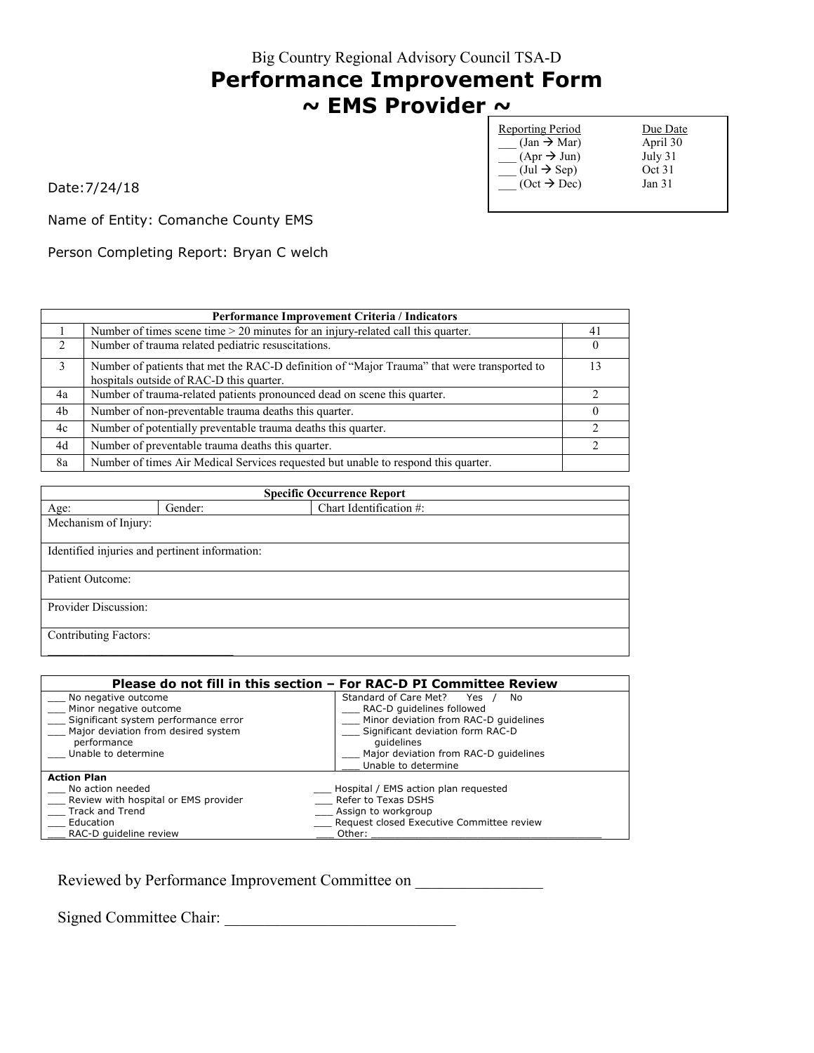# **Performance Improvement Form ~ EMS Provider ~**

| Reporting Period                      | Due Date          |
|---------------------------------------|-------------------|
| $(Jan \rightarrow Mar)$               | April 30          |
| $(Apr \rightarrow Jun)$               | July 31           |
| $(\text{Jul} \rightarrow \text{Sep})$ | Oct 31            |
| $(Oct \rightarrow Dec)$               | Jan <sub>31</sub> |
|                                       |                   |

Date:7/24/18

Name of Entity: Comanche County EMS

Person Completing Report: Bryan C welch

|               | <b>Performance Improvement Criteria / Indicators</b>                                                                                    |     |  |
|---------------|-----------------------------------------------------------------------------------------------------------------------------------------|-----|--|
|               | Number of times scene time $> 20$ minutes for an injury-related call this quarter.                                                      | -41 |  |
| $\mathcal{L}$ | Number of trauma related pediatric resuscitations.                                                                                      |     |  |
| 3             | Number of patients that met the RAC-D definition of "Major Trauma" that were transported to<br>hospitals outside of RAC-D this quarter. |     |  |
| 4a            | Number of trauma-related patients pronounced dead on scene this quarter.                                                                |     |  |
| 4b            | Number of non-preventable trauma deaths this quarter.                                                                                   |     |  |
| 4c            | Number of potentially preventable trauma deaths this quarter.                                                                           |     |  |
| 4d            | Number of preventable trauma deaths this quarter.                                                                                       | ↑   |  |
| 8a            | Number of times Air Medical Services requested but unable to respond this quarter.                                                      |     |  |

| <b>Specific Occurrence Report</b> |                                                |                         |  |
|-----------------------------------|------------------------------------------------|-------------------------|--|
| Age:                              | Gender:                                        | Chart Identification #: |  |
| Mechanism of Injury:              |                                                |                         |  |
|                                   |                                                |                         |  |
|                                   | Identified injuries and pertinent information: |                         |  |
|                                   |                                                |                         |  |
| Patient Outcome:                  |                                                |                         |  |
|                                   |                                                |                         |  |
| Provider Discussion:              |                                                |                         |  |
|                                   |                                                |                         |  |
| <b>Contributing Factors:</b>      |                                                |                         |  |
|                                   |                                                |                         |  |

| Please do not fill in this section – For RAC-D PI Committee Review |                                           |  |
|--------------------------------------------------------------------|-------------------------------------------|--|
| No negative outcome                                                | Standard of Care Met?<br>Yes<br>No        |  |
| Minor negative outcome                                             | RAC-D quidelines followed                 |  |
| Significant system performance error                               | Minor deviation from RAC-D quidelines     |  |
| Major deviation from desired system                                | Significant deviation form RAC-D          |  |
| performance                                                        | quidelines                                |  |
| Unable to determine                                                | Major deviation from RAC-D quidelines     |  |
|                                                                    | Unable to determine                       |  |
| <b>Action Plan</b>                                                 |                                           |  |
| No action needed                                                   | Hospital / EMS action plan requested      |  |
| Review with hospital or EMS provider                               | Refer to Texas DSHS                       |  |
| Track and Trend                                                    | Assign to workgroup                       |  |
| Education                                                          | Request closed Executive Committee review |  |
| RAC-D quideline review                                             | Other:                                    |  |

Reviewed by Performance Improvement Committee on \_\_\_\_\_\_\_\_\_\_\_\_\_\_\_\_\_\_\_\_\_\_\_\_\_\_\_\_\_\_\_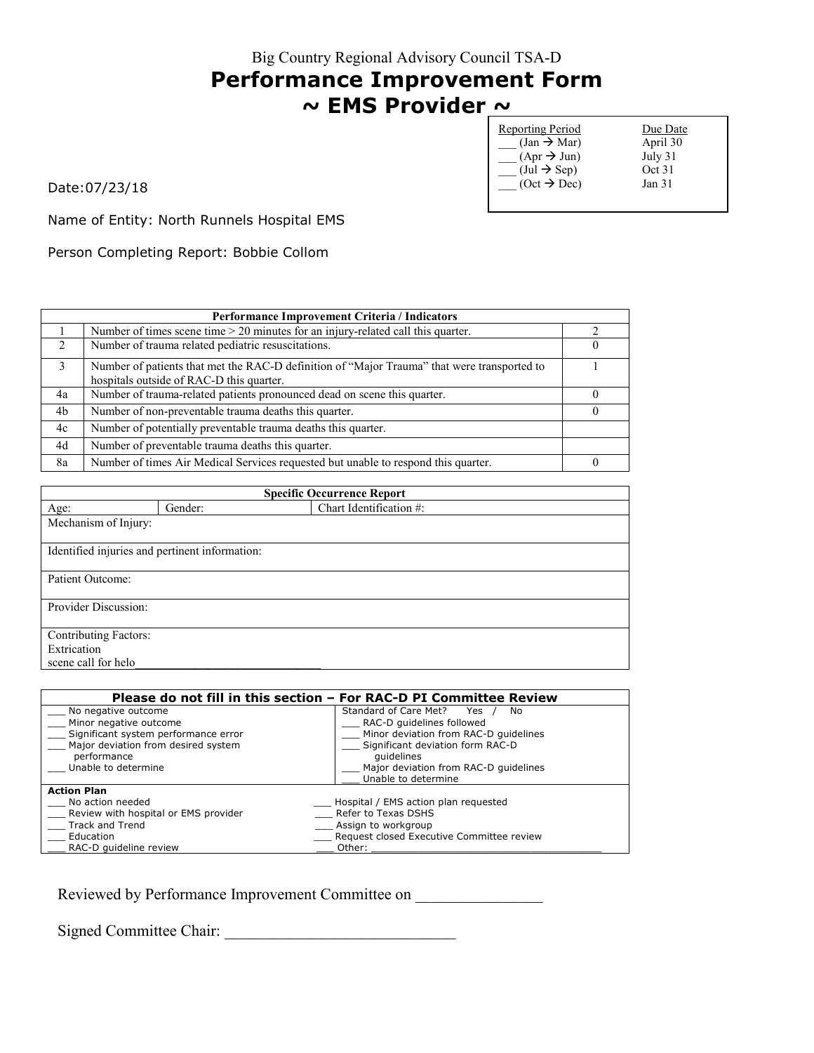# **Performance Improvement Form ~ EMS Provider ~**

| <b>Reporting Period</b>               | Due Date |
|---------------------------------------|----------|
| $(Jan \rightarrow Mar)$               | April 30 |
| $(Apr \rightarrow Jun)$               | July 31  |
| $(\text{Jul} \rightarrow \text{Sep})$ | Oct 31   |
| $(Oct \rightarrow Dec)$               | Jan 31   |
|                                       |          |

Date:07/23/18

Name of Entity: North Runnels Hospital EMS

Person Completing Report: Bobbie Collom

|                | <b>Performance Improvement Criteria / Indicators</b>                                                                                    |  |  |
|----------------|-----------------------------------------------------------------------------------------------------------------------------------------|--|--|
|                | Number of times scene time $> 20$ minutes for an injury-related call this quarter.                                                      |  |  |
| $\mathcal{L}$  | Number of trauma related pediatric resuscitations.                                                                                      |  |  |
| 3              | Number of patients that met the RAC-D definition of "Major Trauma" that were transported to<br>hospitals outside of RAC-D this quarter. |  |  |
| 4a             | Number of trauma-related patients pronounced dead on scene this quarter.                                                                |  |  |
| 4 <sub>b</sub> | Number of non-preventable trauma deaths this quarter.                                                                                   |  |  |
| 4c             | Number of potentially preventable trauma deaths this quarter.                                                                           |  |  |
| 4d             | Number of preventable trauma deaths this quarter.                                                                                       |  |  |
| 8a             | Number of times Air Medical Services requested but unable to respond this quarter.                                                      |  |  |

| <b>Specific Occurrence Report</b> |                                                |                         |  |  |  |
|-----------------------------------|------------------------------------------------|-------------------------|--|--|--|
| Age:                              | Gender:                                        | Chart Identification #: |  |  |  |
| Mechanism of Injury:              |                                                |                         |  |  |  |
|                                   | Identified injuries and pertinent information: |                         |  |  |  |
| Patient Outcome:                  |                                                |                         |  |  |  |
| Provider Discussion:              |                                                |                         |  |  |  |
| <b>Contributing Factors:</b>      |                                                |                         |  |  |  |
| Extrication                       |                                                |                         |  |  |  |
| scene call for helo               |                                                |                         |  |  |  |

| Please do not fill in this section - For RAC-D PI Committee Review |                                           |  |
|--------------------------------------------------------------------|-------------------------------------------|--|
| No negative outcome                                                | Standard of Care Met?<br>Yes<br>No        |  |
| Minor negative outcome                                             | RAC-D quidelines followed                 |  |
| Significant system performance error                               | Minor deviation from RAC-D quidelines     |  |
| Major deviation from desired system                                | Significant deviation form RAC-D          |  |
| performance                                                        | quidelines                                |  |
| Unable to determine                                                | Major deviation from RAC-D quidelines     |  |
|                                                                    | Unable to determine                       |  |
| <b>Action Plan</b>                                                 |                                           |  |
| No action needed                                                   | Hospital / EMS action plan requested      |  |
| Review with hospital or EMS provider                               | Refer to Texas DSHS                       |  |
| Track and Trend                                                    | Assign to workgroup                       |  |
| Education                                                          | Request closed Executive Committee review |  |
| RAC-D quideline review                                             | Other:                                    |  |

Reviewed by Performance Improvement Committee on \_\_\_\_\_\_\_\_\_\_\_\_\_\_\_\_\_\_\_\_\_\_\_\_\_\_\_\_\_\_\_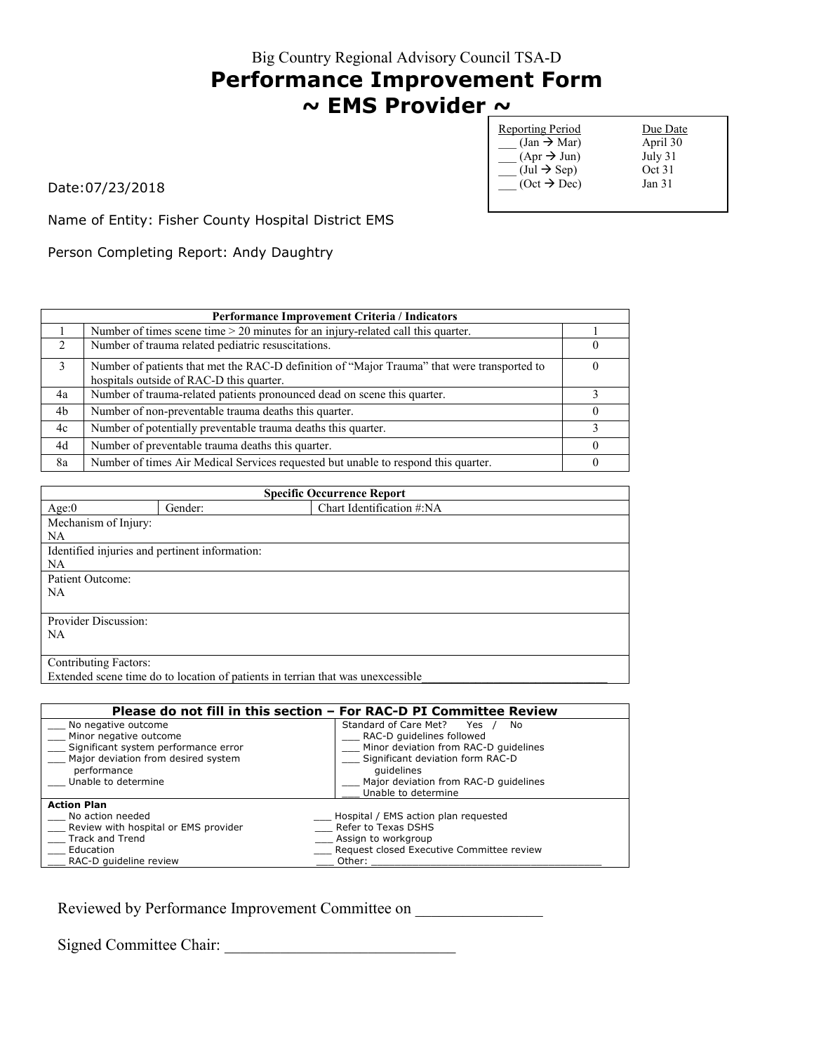# **Performance Improvement Form ~ EMS Provider ~**

| <b>Reporting Period</b>               | Due Date          |
|---------------------------------------|-------------------|
| $(Jan \rightarrow Mar)$               | April 30          |
| $(Apr \rightarrow Jun)$               | July 31           |
| $(\text{Jul} \rightarrow \text{Sep})$ | Oct 31            |
| $(Oct \rightarrow Dec)$               | Jan <sub>31</sub> |
|                                       |                   |

Date:07/23/2018

Name of Entity: Fisher County Hospital District EMS

Person Completing Report: Andy Daughtry

|               | Performance Improvement Criteria / Indicators                                               |  |  |
|---------------|---------------------------------------------------------------------------------------------|--|--|
|               | Number of times scene time $> 20$ minutes for an injury-related call this quarter.          |  |  |
| $\mathcal{L}$ | Number of trauma related pediatric resuscitations.                                          |  |  |
| 3             | Number of patients that met the RAC-D definition of "Major Trauma" that were transported to |  |  |
|               | hospitals outside of RAC-D this quarter.                                                    |  |  |
| 4a            | Number of trauma-related patients pronounced dead on scene this quarter.                    |  |  |
| 4b            | Number of non-preventable trauma deaths this quarter.                                       |  |  |
| 4c            | Number of potentially preventable trauma deaths this quarter.                               |  |  |
| 4d            | Number of preventable trauma deaths this quarter.                                           |  |  |
| 8a            | Number of times Air Medical Services requested but unable to respond this quarter.          |  |  |

| <b>Specific Occurrence Report</b>                                               |         |                           |  |
|---------------------------------------------------------------------------------|---------|---------------------------|--|
| Age:0                                                                           | Gender: | Chart Identification #:NA |  |
| Mechanism of Injury:                                                            |         |                           |  |
| <b>NA</b>                                                                       |         |                           |  |
| Identified injuries and pertinent information:                                  |         |                           |  |
| <b>NA</b>                                                                       |         |                           |  |
| Patient Outcome:                                                                |         |                           |  |
| <b>NA</b>                                                                       |         |                           |  |
|                                                                                 |         |                           |  |
| <b>Provider Discussion:</b>                                                     |         |                           |  |
| <b>NA</b>                                                                       |         |                           |  |
|                                                                                 |         |                           |  |
| Contributing Factors:                                                           |         |                           |  |
| Extended scene time do to location of patients in terrian that was unexcessible |         |                           |  |

| Please do not fill in this section - For RAC-D PI Committee Review |                                           |  |
|--------------------------------------------------------------------|-------------------------------------------|--|
| No negative outcome                                                | Standard of Care Met?<br>Yes<br>No.       |  |
| Minor negative outcome                                             | RAC-D quidelines followed                 |  |
| Significant system performance error                               | Minor deviation from RAC-D quidelines     |  |
| Major deviation from desired system                                | Significant deviation form RAC-D          |  |
| performance                                                        | quidelines                                |  |
| Unable to determine                                                | Major deviation from RAC-D quidelines     |  |
|                                                                    | Unable to determine                       |  |
| <b>Action Plan</b>                                                 |                                           |  |
| No action needed                                                   | Hospital / EMS action plan requested      |  |
| Review with hospital or EMS provider                               | Refer to Texas DSHS                       |  |
| Track and Trend                                                    | Assign to workgroup                       |  |
| Education                                                          | Request closed Executive Committee review |  |
| RAC-D quideline review                                             | Other:                                    |  |

Reviewed by Performance Improvement Committee on

Signed Committee Chair: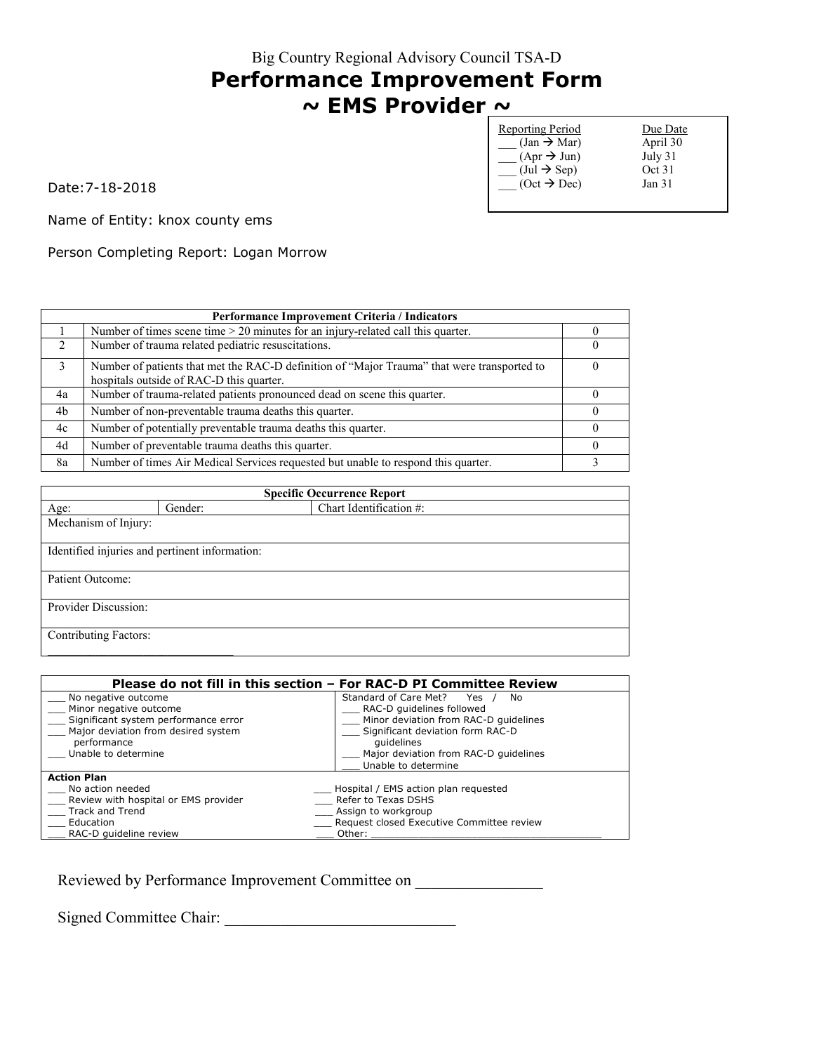# **Performance Improvement Form ~ EMS Provider ~**

| <b>Reporting Period</b>               | Due Date          |
|---------------------------------------|-------------------|
| $(Jan \rightarrow Mar)$               | April 30          |
| $(Apr \rightarrow Jun)$               | July 31           |
| $(\text{Jul} \rightarrow \text{Sep})$ | Oct 31            |
| $(Oct \rightarrow Dec)$               | Jan <sub>31</sub> |
|                                       |                   |

Date:7-18-2018

Name of Entity: knox county ems

Person Completing Report: Logan Morrow

| Performance Improvement Criteria / Indicators |                                                                                                                                         |  |
|-----------------------------------------------|-----------------------------------------------------------------------------------------------------------------------------------------|--|
|                                               | Number of times scene time > 20 minutes for an injury-related call this quarter.                                                        |  |
| $\mathcal{D}$                                 | Number of trauma related pediatric resuscitations.                                                                                      |  |
| 3                                             | Number of patients that met the RAC-D definition of "Major Trauma" that were transported to<br>hospitals outside of RAC-D this quarter. |  |
| 4a                                            | Number of trauma-related patients pronounced dead on scene this quarter.                                                                |  |
| 4b                                            | Number of non-preventable trauma deaths this quarter.                                                                                   |  |
| 4c                                            | Number of potentially preventable trauma deaths this quarter.                                                                           |  |
| 4d                                            | Number of preventable trauma deaths this quarter.                                                                                       |  |
| 8a                                            | Number of times Air Medical Services requested but unable to respond this quarter.                                                      |  |

| <b>Specific Occurrence Report</b>              |         |                         |  |  |
|------------------------------------------------|---------|-------------------------|--|--|
| Age:                                           | Gender: | Chart Identification #: |  |  |
| Mechanism of Injury:                           |         |                         |  |  |
|                                                |         |                         |  |  |
| Identified injuries and pertinent information: |         |                         |  |  |
|                                                |         |                         |  |  |
| Patient Outcome:                               |         |                         |  |  |
| Provider Discussion:                           |         |                         |  |  |
|                                                |         |                         |  |  |
| <b>Contributing Factors:</b>                   |         |                         |  |  |
|                                                |         |                         |  |  |

| Please do not fill in this section - For RAC-D PI Committee Review |                                           |  |
|--------------------------------------------------------------------|-------------------------------------------|--|
| No negative outcome                                                | Standard of Care Met?<br>Yes<br>No        |  |
| Minor negative outcome                                             | RAC-D guidelines followed                 |  |
| Significant system performance error                               | Minor deviation from RAC-D quidelines     |  |
| Major deviation from desired system                                | Significant deviation form RAC-D          |  |
| performance                                                        | quidelines                                |  |
| Unable to determine                                                | Major deviation from RAC-D quidelines     |  |
|                                                                    | Unable to determine                       |  |
| <b>Action Plan</b>                                                 |                                           |  |
| No action needed                                                   | Hospital / EMS action plan requested      |  |
| Review with hospital or EMS provider                               | Refer to Texas DSHS                       |  |
| <b>Track and Trend</b>                                             | Assign to workgroup                       |  |
| Education                                                          | Request closed Executive Committee review |  |
| RAC-D quideline review                                             | Other:                                    |  |

Reviewed by Performance Improvement Committee on \_\_\_\_\_\_\_\_\_\_\_\_\_\_\_\_\_\_\_\_\_\_\_\_\_\_\_\_\_\_\_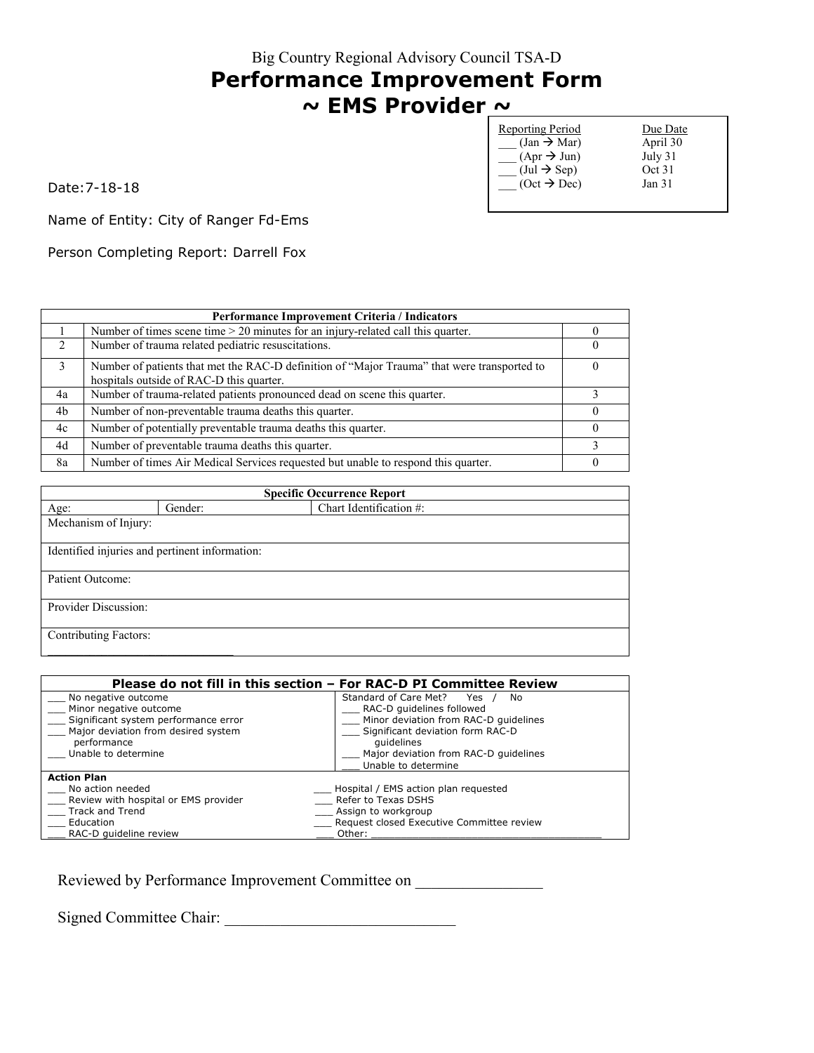# **Performance Improvement Form ~ EMS Provider ~**

| <b>Reporting Period</b>               | Due Date |
|---------------------------------------|----------|
| $(Jan \rightarrow Mar)$               | April 30 |
| $(Apr \rightarrow Jun)$               | July 31  |
| $(\text{Jul} \rightarrow \text{Sep})$ | Oct 31   |
| $(Oct \rightarrow Dec)$               | Jan 31   |
|                                       |          |

Date:7-18-18

Name of Entity: City of Ranger Fd-Ems

Person Completing Report: Darrell Fox

| <b>Performance Improvement Criteria / Indicators</b> |                                                                                                                                         |  |
|------------------------------------------------------|-----------------------------------------------------------------------------------------------------------------------------------------|--|
|                                                      | Number of times scene time $> 20$ minutes for an injury-related call this quarter.                                                      |  |
| $\mathcal{D}$                                        | Number of trauma related pediatric resuscitations.                                                                                      |  |
| 3                                                    | Number of patients that met the RAC-D definition of "Major Trauma" that were transported to<br>hospitals outside of RAC-D this quarter. |  |
| 4a                                                   | Number of trauma-related patients pronounced dead on scene this quarter.                                                                |  |
| 4b                                                   | Number of non-preventable trauma deaths this quarter.                                                                                   |  |
| 4c                                                   | Number of potentially preventable trauma deaths this quarter.                                                                           |  |
| 4d                                                   | Number of preventable trauma deaths this quarter.                                                                                       |  |
| 8a                                                   | Number of times Air Medical Services requested but unable to respond this quarter.                                                      |  |

| <b>Specific Occurrence Report</b> |                                                |                         |  |  |
|-----------------------------------|------------------------------------------------|-------------------------|--|--|
| Age:                              | Gender:                                        | Chart Identification #: |  |  |
| Mechanism of Injury:              |                                                |                         |  |  |
|                                   |                                                |                         |  |  |
|                                   | Identified injuries and pertinent information: |                         |  |  |
|                                   |                                                |                         |  |  |
| Patient Outcome:                  |                                                |                         |  |  |
|                                   |                                                |                         |  |  |
| Provider Discussion:              |                                                |                         |  |  |
|                                   |                                                |                         |  |  |
| <b>Contributing Factors:</b>      |                                                |                         |  |  |
|                                   |                                                |                         |  |  |

| Please do not fill in this section - For RAC-D PI Committee Review |                                           |  |
|--------------------------------------------------------------------|-------------------------------------------|--|
| No negative outcome                                                | Standard of Care Met?<br>Yes<br>No        |  |
| Minor negative outcome                                             | RAC-D guidelines followed                 |  |
| Significant system performance error                               | Minor deviation from RAC-D quidelines     |  |
| Major deviation from desired system                                | Significant deviation form RAC-D          |  |
| performance                                                        | quidelines                                |  |
| Unable to determine                                                | Major deviation from RAC-D quidelines     |  |
|                                                                    | Unable to determine                       |  |
| <b>Action Plan</b>                                                 |                                           |  |
| No action needed                                                   | Hospital / EMS action plan requested      |  |
| Review with hospital or EMS provider                               | Refer to Texas DSHS                       |  |
| <b>Track and Trend</b>                                             | Assign to workgroup                       |  |
| Education                                                          | Request closed Executive Committee review |  |
| RAC-D quideline review                                             | Other:                                    |  |

Reviewed by Performance Improvement Committee on \_\_\_\_\_\_\_\_\_\_\_\_\_\_\_\_\_\_\_\_\_\_\_\_\_\_\_\_\_\_\_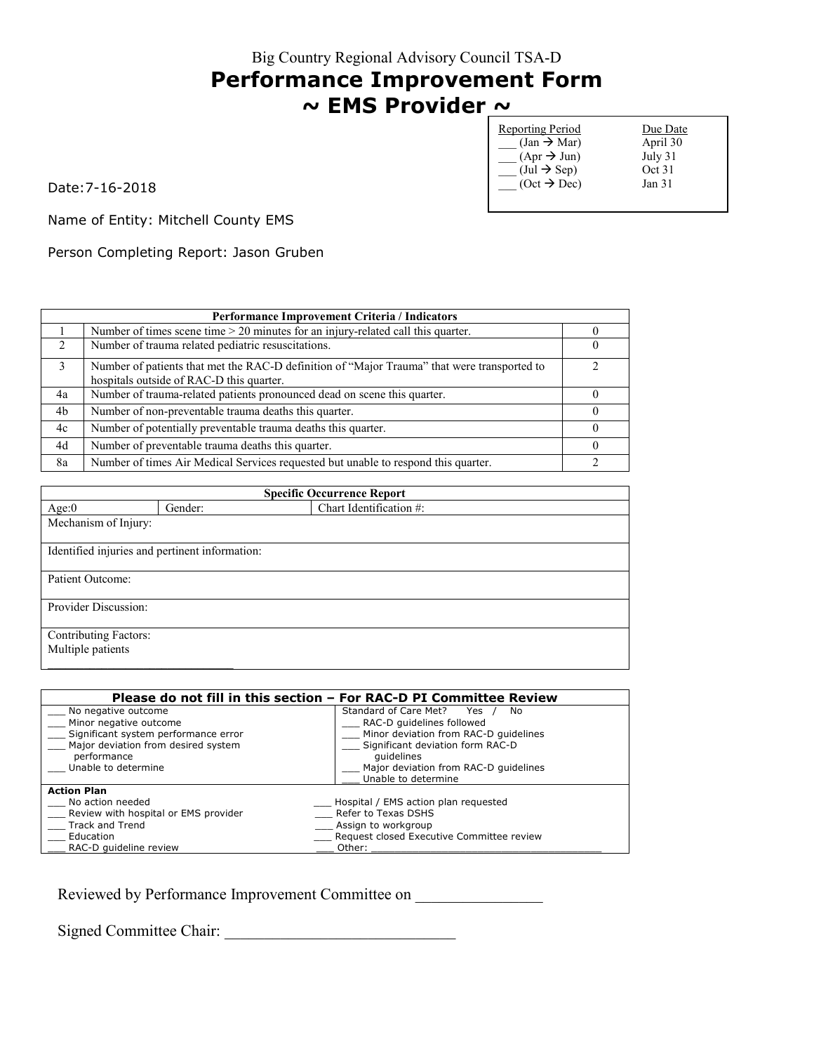# **Performance Improvement Form ~ EMS Provider ~**

| <b>Reporting Period</b>               | Due Date          |
|---------------------------------------|-------------------|
| $(Jan \rightarrow Mar)$               | April 30          |
| $(Apr \rightarrow Jun)$               | July 31           |
| $(\text{Jul} \rightarrow \text{Sep})$ | Oct 31            |
| $(Oct \rightarrow Dec)$               | Jan <sub>31</sub> |
|                                       |                   |

Date:7-16-2018

Name of Entity: Mitchell County EMS

Person Completing Report: Jason Gruben

|               | Performance Improvement Criteria / Indicators                                                                                           |  |  |
|---------------|-----------------------------------------------------------------------------------------------------------------------------------------|--|--|
|               | Number of times scene time $> 20$ minutes for an injury-related call this quarter.                                                      |  |  |
| $\mathcal{L}$ | Number of trauma related pediatric resuscitations.                                                                                      |  |  |
| 3             | Number of patients that met the RAC-D definition of "Major Trauma" that were transported to<br>hospitals outside of RAC-D this quarter. |  |  |
| 4a            | Number of trauma-related patients pronounced dead on scene this quarter.                                                                |  |  |
| 4b            | Number of non-preventable trauma deaths this quarter.                                                                                   |  |  |
| 4c            | Number of potentially preventable trauma deaths this quarter.                                                                           |  |  |
| 4d            | Number of preventable trauma deaths this quarter.                                                                                       |  |  |
| 8a            | Number of times Air Medical Services requested but unable to respond this quarter.                                                      |  |  |

| <b>Specific Occurrence Report</b> |                                                |                         |  |  |
|-----------------------------------|------------------------------------------------|-------------------------|--|--|
| Age:0                             | Gender:                                        | Chart Identification #: |  |  |
|                                   | Mechanism of Injury:                           |                         |  |  |
|                                   | Identified injuries and pertinent information: |                         |  |  |
| Patient Outcome:                  |                                                |                         |  |  |
| Provider Discussion:              |                                                |                         |  |  |
| <b>Contributing Factors:</b>      |                                                |                         |  |  |
|                                   | Multiple patients                              |                         |  |  |

|                                      | Please do not fill in this section - For RAC-D PI Committee Review |  |
|--------------------------------------|--------------------------------------------------------------------|--|
| No negative outcome                  | Standard of Care Met?<br>No<br>Yes                                 |  |
| Minor negative outcome               | RAC-D quidelines followed                                          |  |
| Significant system performance error | Minor deviation from RAC-D quidelines                              |  |
| Major deviation from desired system  | Significant deviation form RAC-D                                   |  |
| performance                          | quidelines                                                         |  |
| Unable to determine                  | Major deviation from RAC-D guidelines                              |  |
|                                      | Unable to determine                                                |  |
| <b>Action Plan</b>                   |                                                                    |  |
| No action needed                     | Hospital / EMS action plan requested                               |  |
| Review with hospital or EMS provider | Refer to Texas DSHS                                                |  |
| Track and Trend                      | Assign to workgroup                                                |  |
| Education                            | __ Request closed Executive Committee review                       |  |
| RAC-D quideline review               | Other:                                                             |  |

Reviewed by Performance Improvement Committee on \_\_\_\_\_\_\_\_\_\_\_\_\_\_\_\_\_\_\_\_\_\_\_\_\_\_\_\_\_\_\_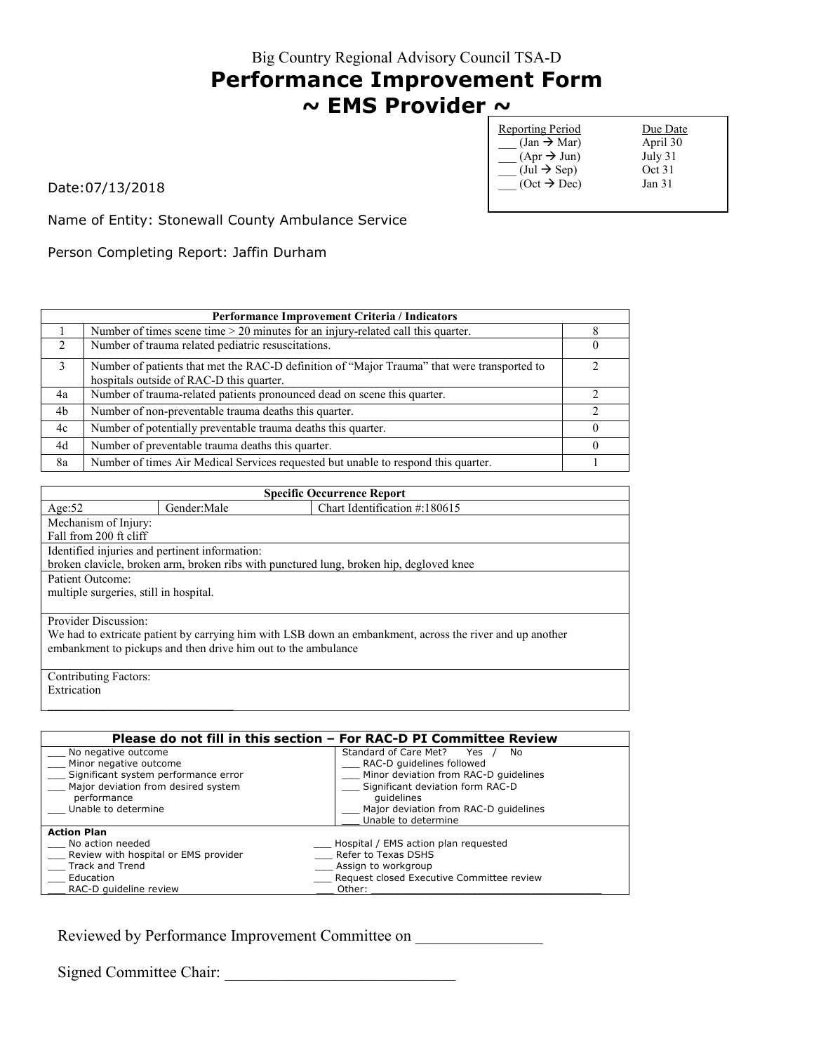# **Performance Improvement Form ~ EMS Provider ~**

| <b>Reporting Period</b>               | Due Date |
|---------------------------------------|----------|
| $(Jan \rightarrow Mar)$               | April 30 |
| $(Apr \rightarrow Jun)$               | July 31  |
| $(\text{Jul} \rightarrow \text{Sep})$ | Oct 31   |
| $(Oct \rightarrow Dec)$               | Jan 31   |
|                                       |          |

Date:07/13/2018

Name of Entity: Stonewall County Ambulance Service

Person Completing Report: Jaffin Durham

|                               | <b>Performance Improvement Criteria / Indicators</b>                                                                                    |  |
|-------------------------------|-----------------------------------------------------------------------------------------------------------------------------------------|--|
|                               | Number of times scene time $> 20$ minutes for an injury-related call this quarter.                                                      |  |
| $\mathfrak{D}_{\mathfrak{p}}$ | Number of trauma related pediatric resuscitations.                                                                                      |  |
| 3                             | Number of patients that met the RAC-D definition of "Major Trauma" that were transported to<br>hospitals outside of RAC-D this quarter. |  |
| 4a                            | Number of trauma-related patients pronounced dead on scene this quarter.                                                                |  |
| 4b                            | Number of non-preventable trauma deaths this quarter.                                                                                   |  |
| 4c                            | Number of potentially preventable trauma deaths this quarter.                                                                           |  |
| 4d                            | Number of preventable trauma deaths this quarter.                                                                                       |  |
| 8a                            | Number of times Air Medical Services requested but unable to respond this quarter.                                                      |  |

| <b>Specific Occurrence Report</b>                                                                        |                                        |                                                                                         |  |
|----------------------------------------------------------------------------------------------------------|----------------------------------------|-----------------------------------------------------------------------------------------|--|
| Age: $52$                                                                                                | Gender:Male                            | Chart Identification $\#:180615$                                                        |  |
| Mechanism of Injury:                                                                                     |                                        |                                                                                         |  |
| Fall from 200 ft cliff                                                                                   |                                        |                                                                                         |  |
| Identified injuries and pertinent information:                                                           |                                        |                                                                                         |  |
|                                                                                                          |                                        | broken clavicle, broken arm, broken ribs with punctured lung, broken hip, degloved knee |  |
| Patient Outcome:                                                                                         |                                        |                                                                                         |  |
|                                                                                                          | multiple surgeries, still in hospital. |                                                                                         |  |
|                                                                                                          |                                        |                                                                                         |  |
| Provider Discussion:                                                                                     |                                        |                                                                                         |  |
| We had to extricate patient by carrying him with LSB down an embankment, across the river and up another |                                        |                                                                                         |  |
| embankment to pickups and then drive him out to the ambulance                                            |                                        |                                                                                         |  |
|                                                                                                          |                                        |                                                                                         |  |
| Contributing Factors:                                                                                    |                                        |                                                                                         |  |
| Extrication                                                                                              |                                        |                                                                                         |  |

|                                      | Please do not fill in this section – For RAC-D PI Committee Review |
|--------------------------------------|--------------------------------------------------------------------|
| No negative outcome                  | Standard of Care Met?<br>Yes<br>No.                                |
| Minor negative outcome               | RAC-D guidelines followed                                          |
| Significant system performance error | Minor deviation from RAC-D quidelines                              |
| Major deviation from desired system  | Significant deviation form RAC-D                                   |
| performance                          | quidelines                                                         |
| Unable to determine                  | Major deviation from RAC-D quidelines                              |
|                                      | Unable to determine                                                |
| <b>Action Plan</b>                   |                                                                    |
| No action needed                     | Hospital / EMS action plan requested                               |
| Review with hospital or EMS provider | Refer to Texas DSHS                                                |
| Track and Trend                      | Assign to workgroup                                                |
| Education                            | Request closed Executive Committee review                          |
| RAC-D quideline review               | Other:                                                             |
|                                      |                                                                    |

Reviewed by Performance Improvement Committee on \_\_\_\_\_\_\_\_\_\_\_\_\_\_\_\_\_\_\_\_\_\_\_\_\_\_\_\_\_\_\_

Signed Committee Chair:

 $\mathcal{L}_\text{max}$  and  $\mathcal{L}_\text{max}$  and  $\mathcal{L}_\text{max}$  and  $\mathcal{L}_\text{max}$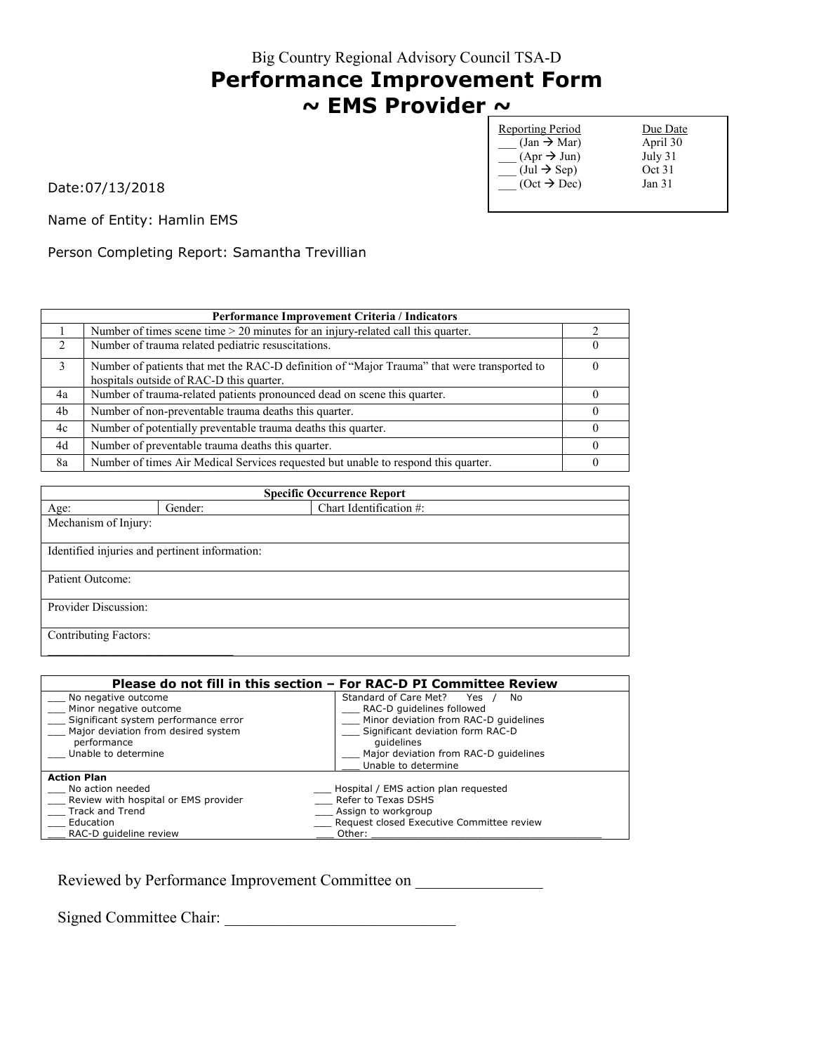#### **Performance Improvement Form ~ EMS Provider ~**

Reporting Period Due Date  $\begin{array}{ccc} \text{(Jan } \rightarrow \text{Mar}) & \text{April } 30 \\ \text{(Apr } \rightarrow \text{Jun}) & \text{July } 31 \end{array}$  $(\text{Apr} \rightarrow \text{Jun})$  July 31<br>(Jul  $\rightarrow$  Sep) Oct 31  $\overline{\phantom{a}}$  (Jul  $\rightarrow$  Sep) Oct 31<br>
(Oct  $\rightarrow$  Dec) Jan 31  $\overline{\overline{\phantom{a}}}\,$  (Oct  $\overline{\overline{}}\,$  Dec)

Date:07/13/2018

Name of Entity: Hamlin EMS

Person Completing Report: Samantha Trevillian

|                             | <b>Performance Improvement Criteria / Indicators</b>                                        |  |
|-----------------------------|---------------------------------------------------------------------------------------------|--|
|                             | Number of times scene time $> 20$ minutes for an injury-related call this quarter.          |  |
| $\mathcal{D}_{\mathcal{L}}$ | Number of trauma related pediatric resuscitations.                                          |  |
| 3                           | Number of patients that met the RAC-D definition of "Major Trauma" that were transported to |  |
|                             | hospitals outside of RAC-D this quarter.                                                    |  |
| 4a                          | Number of trauma-related patients pronounced dead on scene this quarter.                    |  |
| 4b                          | Number of non-preventable trauma deaths this quarter.                                       |  |
| 4c                          | Number of potentially preventable trauma deaths this quarter.                               |  |
| 4d                          | Number of preventable trauma deaths this quarter.                                           |  |
| 8a                          | Number of times Air Medical Services requested but unable to respond this quarter.          |  |

| <b>Specific Occurrence Report</b>              |         |                         |
|------------------------------------------------|---------|-------------------------|
| Age:                                           | Gender: | Chart Identification #: |
| Mechanism of Injury:                           |         |                         |
|                                                |         |                         |
| Identified injuries and pertinent information: |         |                         |
|                                                |         |                         |
| Patient Outcome:                               |         |                         |
|                                                |         |                         |
| Provider Discussion:                           |         |                         |
|                                                |         |                         |
| <b>Contributing Factors:</b>                   |         |                         |
|                                                |         |                         |

|                                      | Please do not fill in this section – For RAC-D PI Committee Review |
|--------------------------------------|--------------------------------------------------------------------|
| No negative outcome                  | Standard of Care Met?<br>Yes<br>No.                                |
| Minor negative outcome               | RAC-D guidelines followed                                          |
| Significant system performance error | Minor deviation from RAC-D quidelines                              |
| Major deviation from desired system  | Significant deviation form RAC-D                                   |
| performance                          | quidelines                                                         |
| Unable to determine                  | Major deviation from RAC-D quidelines                              |
|                                      | Unable to determine                                                |
| <b>Action Plan</b>                   |                                                                    |
| No action needed                     | Hospital / EMS action plan requested                               |
| Review with hospital or EMS provider | Refer to Texas DSHS                                                |
| <b>Track and Trend</b>               | Assign to workgroup                                                |
| Education                            | Request closed Executive Committee review                          |
| RAC-D quideline review               | Other:                                                             |

Reviewed by Performance Improvement Committee on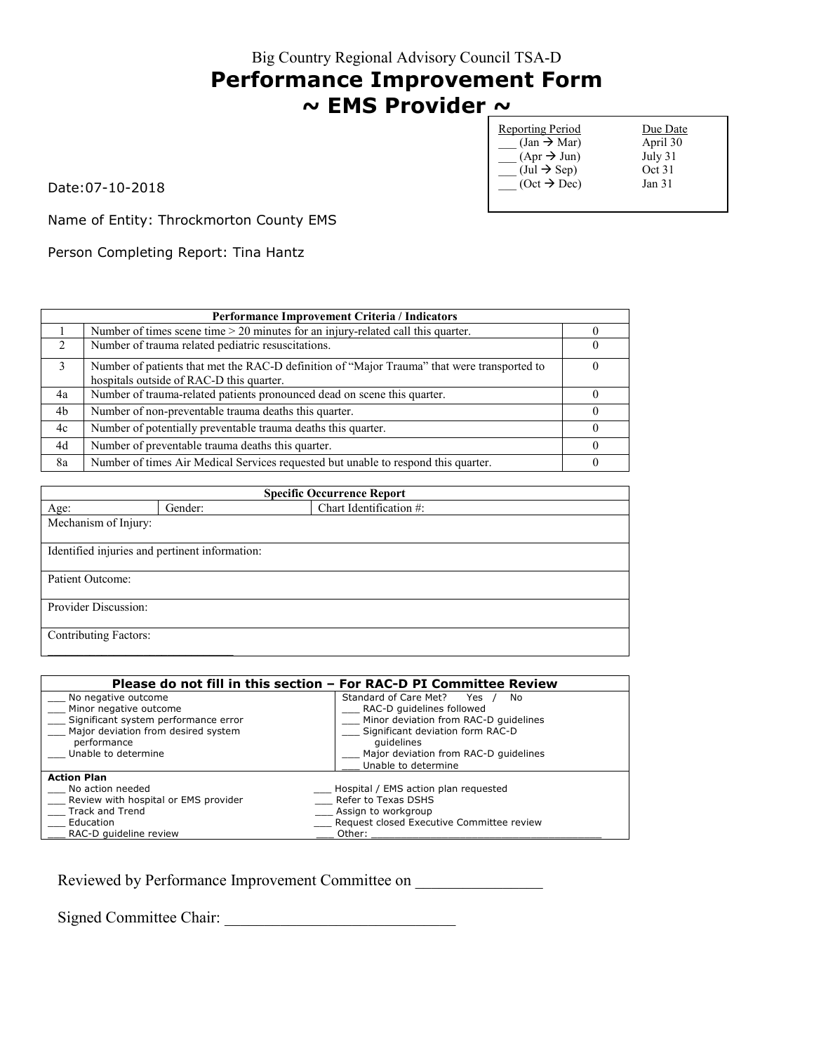# **Performance Improvement Form ~ EMS Provider ~**

| <b>Reporting Period</b>               | Due Date          |
|---------------------------------------|-------------------|
| $(Jan \rightarrow Mar)$               | April 30          |
| $(Apr \rightarrow Jun)$               | July 31           |
| $(\text{Jul} \rightarrow \text{Sep})$ | Oct 31            |
| $(Oct \rightarrow Dec)$               | Jan <sub>31</sub> |
|                                       |                   |

Date:07-10-2018

Name of Entity: Throckmorton County EMS

Person Completing Report: Tina Hantz

|                               | Performance Improvement Criteria / Indicators                                                                                           |  |
|-------------------------------|-----------------------------------------------------------------------------------------------------------------------------------------|--|
|                               | Number of times scene time $> 20$ minutes for an injury-related call this quarter.                                                      |  |
| $\mathfrak{D}_{\mathfrak{p}}$ | Number of trauma related pediatric resuscitations.                                                                                      |  |
| 3                             | Number of patients that met the RAC-D definition of "Major Trauma" that were transported to<br>hospitals outside of RAC-D this quarter. |  |
| 4a                            | Number of trauma-related patients pronounced dead on scene this quarter.                                                                |  |
| 4b                            | Number of non-preventable trauma deaths this quarter.                                                                                   |  |
| 4c                            | Number of potentially preventable trauma deaths this quarter.                                                                           |  |
| 4d                            | Number of preventable trauma deaths this quarter.                                                                                       |  |
| 8a                            | Number of times Air Medical Services requested but unable to respond this quarter.                                                      |  |

| <b>Specific Occurrence Report</b> |                                                |                         |
|-----------------------------------|------------------------------------------------|-------------------------|
| Age:                              | Gender:                                        | Chart Identification #: |
| Mechanism of Injury:              |                                                |                         |
|                                   |                                                |                         |
|                                   | Identified injuries and pertinent information: |                         |
|                                   |                                                |                         |
| Patient Outcome:                  |                                                |                         |
|                                   |                                                |                         |
| Provider Discussion:              |                                                |                         |
|                                   |                                                |                         |
| <b>Contributing Factors:</b>      |                                                |                         |
|                                   |                                                |                         |

| Please do not fill in this section - For RAC-D PI Committee Review |                                           |  |
|--------------------------------------------------------------------|-------------------------------------------|--|
| No negative outcome                                                | Standard of Care Met?<br>Yes<br>No        |  |
| Minor negative outcome                                             | RAC-D guidelines followed                 |  |
| Significant system performance error                               | Minor deviation from RAC-D quidelines     |  |
| Major deviation from desired system                                | Significant deviation form RAC-D          |  |
| performance                                                        | quidelines                                |  |
| Unable to determine                                                | Major deviation from RAC-D quidelines     |  |
|                                                                    | Unable to determine                       |  |
| <b>Action Plan</b>                                                 |                                           |  |
| No action needed                                                   | Hospital / EMS action plan requested      |  |
| Review with hospital or EMS provider                               | Refer to Texas DSHS                       |  |
| <b>Track and Trend</b>                                             | Assign to workgroup                       |  |
| Education                                                          | Request closed Executive Committee review |  |
| RAC-D quideline review                                             | Other:                                    |  |

Reviewed by Performance Improvement Committee on \_\_\_\_\_\_\_\_\_\_\_\_\_\_\_\_\_\_\_\_\_\_\_\_\_\_\_\_\_\_\_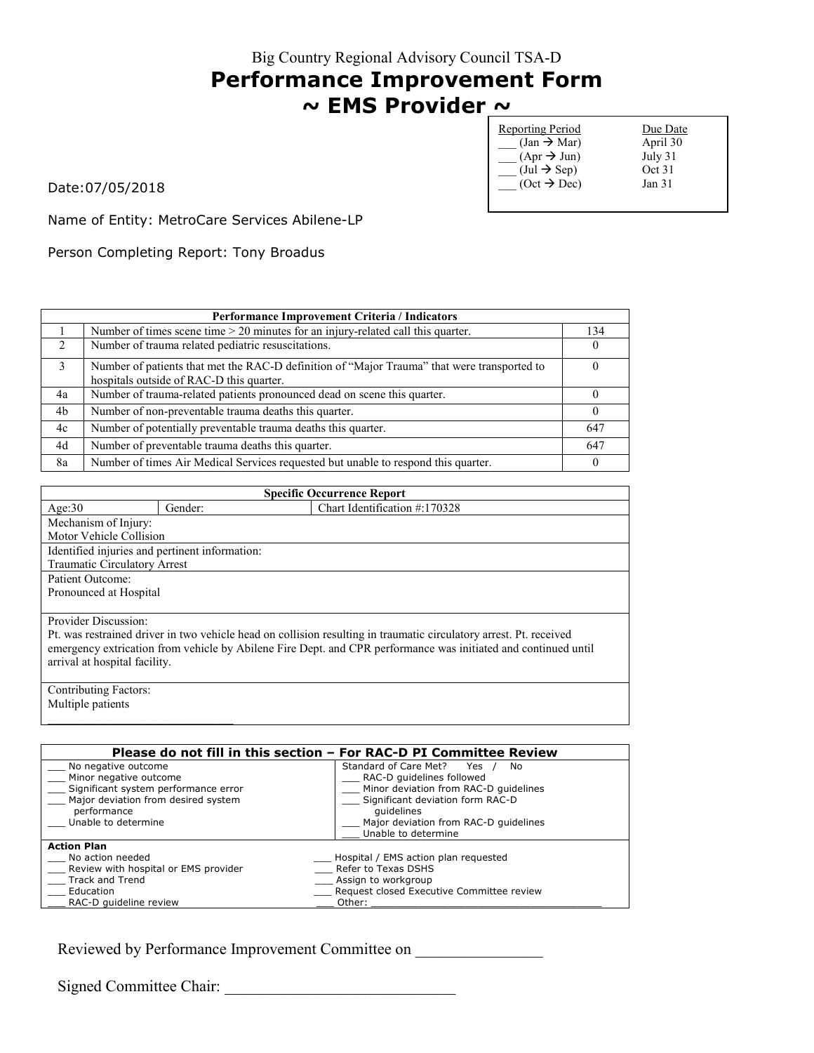#### Big Country Regional Advisory Council TSA-D **Performance Improvement Form ~ EMS Provider ~**

| <b>Reporting Period</b>               | Due Date          |
|---------------------------------------|-------------------|
| $(Jan \rightarrow Mar)$               | April 30          |
| $(Apr \rightarrow Jun)$               | July 31           |
| $(\text{Jul} \rightarrow \text{Sep})$ | Oct 31            |
| $(Oct \rightarrow Dec)$               | Jan <sub>31</sub> |
|                                       |                   |

Date:07/05/2018

Name of Entity: MetroCare Services Abilene-LP

Person Completing Report: Tony Broadus

| Performance Improvement Criteria / Indicators |                                                                                                                                         |          |
|-----------------------------------------------|-----------------------------------------------------------------------------------------------------------------------------------------|----------|
|                                               | Number of times scene time $> 20$ minutes for an injury-related call this quarter.                                                      | 134      |
| $\mathcal{L}$                                 | Number of trauma related pediatric resuscitations.                                                                                      |          |
| $\mathbf{3}$                                  | Number of patients that met the RAC-D definition of "Major Trauma" that were transported to<br>hospitals outside of RAC-D this quarter. |          |
| 4a                                            | Number of trauma-related patients pronounced dead on scene this quarter.                                                                |          |
| 4b                                            | Number of non-preventable trauma deaths this quarter.                                                                                   | $\theta$ |
| 4c                                            | Number of potentially preventable trauma deaths this quarter.                                                                           | 647      |
| 4d                                            | Number of preventable trauma deaths this quarter.                                                                                       | 647      |
| 8a                                            | Number of times Air Medical Services requested but unable to respond this quarter.                                                      | $\theta$ |

| <b>Specific Occurrence Report</b>                                                                                  |                        |                               |  |
|--------------------------------------------------------------------------------------------------------------------|------------------------|-------------------------------|--|
| Age:30                                                                                                             | Gender:                | Chart Identification #:170328 |  |
| Mechanism of Injury:                                                                                               |                        |                               |  |
| Motor Vehicle Collision                                                                                            |                        |                               |  |
| Identified injuries and pertinent information:                                                                     |                        |                               |  |
| Traumatic Circulatory Arrest                                                                                       |                        |                               |  |
| Patient Outcome:                                                                                                   |                        |                               |  |
|                                                                                                                    | Pronounced at Hospital |                               |  |
|                                                                                                                    |                        |                               |  |
| Provider Discussion:                                                                                               |                        |                               |  |
| Pt. was restrained driver in two vehicle head on collision resulting in traumatic circulatory arrest. Pt. received |                        |                               |  |
| emergency extrication from vehicle by Abilene Fire Dept. and CPR performance was initiated and continued until     |                        |                               |  |
| arrival at hospital facility.                                                                                      |                        |                               |  |
|                                                                                                                    |                        |                               |  |
| <b>Contributing Factors:</b>                                                                                       |                        |                               |  |

Multiple patients

 $\mathcal{L}_\text{max}$  , where  $\mathcal{L}_\text{max}$  is the set of the set of the set of the set of the set of the set of the set of the set of the set of the set of the set of the set of the set of the set of the set of the set of the se

| Please do not fill in this section - For RAC-D PI Committee Review |                                           |  |
|--------------------------------------------------------------------|-------------------------------------------|--|
| No negative outcome                                                | Standard of Care Met? Yes<br>No.          |  |
| Minor negative outcome                                             | RAC-D guidelines followed                 |  |
| Significant system performance error                               | Minor deviation from RAC-D quidelines     |  |
| Major deviation from desired system                                | Significant deviation form RAC-D          |  |
| performance                                                        | quidelines                                |  |
| Unable to determine                                                | Major deviation from RAC-D quidelines     |  |
|                                                                    | Unable to determine                       |  |
| <b>Action Plan</b>                                                 |                                           |  |
| No action needed                                                   | Hospital / EMS action plan requested      |  |
| Review with hospital or EMS provider                               | Refer to Texas DSHS                       |  |
| Track and Trend                                                    | Assign to workgroup                       |  |
| Education                                                          | Request closed Executive Committee review |  |
| RAC-D quideline review                                             | Other:                                    |  |

Reviewed by Performance Improvement Committee on

Signed Committee Chair: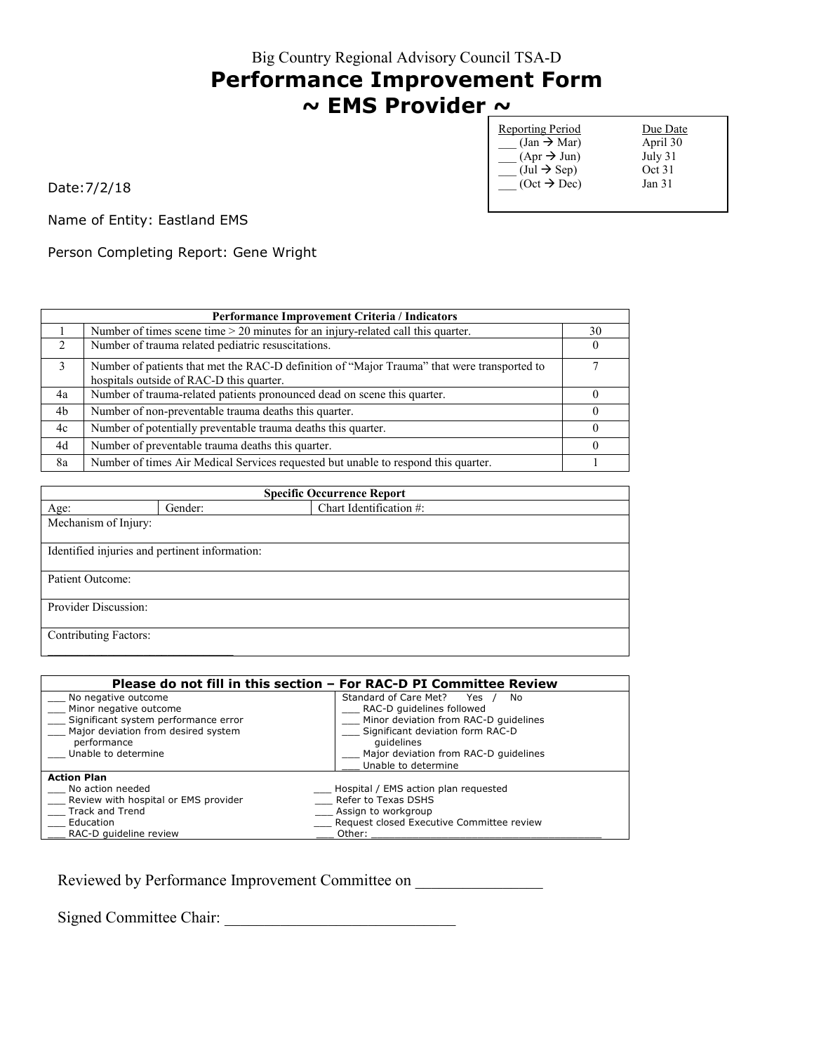## **Performance Improvement Form ~ EMS Provider ~**

| <b>Reporting Period</b>               | Due Date          |
|---------------------------------------|-------------------|
| $(Jan \rightarrow Mar)$               | April 30          |
| $(Apr \rightarrow Jun)$               | July 31           |
| $(\text{Jul} \rightarrow \text{Sep})$ | Oct 31            |
| $(Oct \rightarrow Dec)$               | Jan <sub>31</sub> |
|                                       |                   |

Date:7/2/18

Name of Entity: Eastland EMS

Person Completing Report: Gene Wright

|               | <b>Performance Improvement Criteria / Indicators</b>                                                                                    |    |  |
|---------------|-----------------------------------------------------------------------------------------------------------------------------------------|----|--|
|               | Number of times scene time > 20 minutes for an injury-related call this quarter.                                                        | 30 |  |
| $\mathcal{L}$ | Number of trauma related pediatric resuscitations.                                                                                      |    |  |
| 3             | Number of patients that met the RAC-D definition of "Major Trauma" that were transported to<br>hospitals outside of RAC-D this quarter. |    |  |
| 4a            | Number of trauma-related patients pronounced dead on scene this quarter.                                                                |    |  |
| 4b            | Number of non-preventable trauma deaths this quarter.                                                                                   |    |  |
| 4c            | Number of potentially preventable trauma deaths this quarter.                                                                           |    |  |
| 4d            | Number of preventable trauma deaths this quarter.                                                                                       |    |  |
| 8a            | Number of times Air Medical Services requested but unable to respond this quarter.                                                      |    |  |

| <b>Specific Occurrence Report</b> |                                                |                         |  |
|-----------------------------------|------------------------------------------------|-------------------------|--|
| Age:                              | Gender:                                        | Chart Identification #: |  |
|                                   | Mechanism of Injury:                           |                         |  |
|                                   |                                                |                         |  |
|                                   | Identified injuries and pertinent information: |                         |  |
|                                   |                                                |                         |  |
| Patient Outcome:                  |                                                |                         |  |
|                                   |                                                |                         |  |
| Provider Discussion:              |                                                |                         |  |
|                                   |                                                |                         |  |
| <b>Contributing Factors:</b>      |                                                |                         |  |
|                                   |                                                |                         |  |

| Please do not fill in this section - For RAC-D PI Committee Review |                                           |  |
|--------------------------------------------------------------------|-------------------------------------------|--|
| No negative outcome                                                | Standard of Care Met?<br>Yes<br>No        |  |
| Minor negative outcome                                             | RAC-D guidelines followed                 |  |
| Significant system performance error                               | Minor deviation from RAC-D quidelines     |  |
| Major deviation from desired system                                | Significant deviation form RAC-D          |  |
| performance                                                        | quidelines                                |  |
| Unable to determine                                                | Major deviation from RAC-D quidelines     |  |
|                                                                    | Unable to determine                       |  |
| <b>Action Plan</b>                                                 |                                           |  |
| No action needed                                                   | Hospital / EMS action plan requested      |  |
| Review with hospital or EMS provider                               | Refer to Texas DSHS                       |  |
| <b>Track and Trend</b>                                             | Assign to workgroup                       |  |
| Education                                                          | Request closed Executive Committee review |  |
| RAC-D quideline review                                             | Other:                                    |  |

Reviewed by Performance Improvement Committee on \_\_\_\_\_\_\_\_\_\_\_\_\_\_\_\_\_\_\_\_\_\_\_\_\_\_\_\_\_\_\_